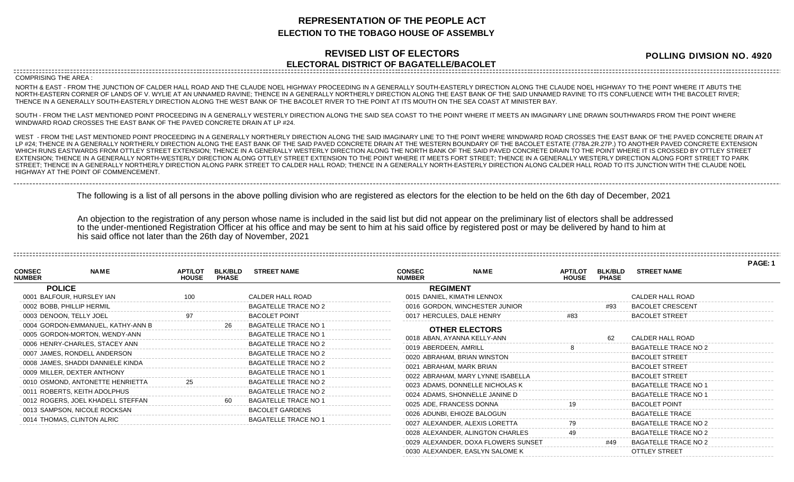## **REPRESENTATION OF THE PEOPLE ACT ELECTION TO THE TOBAGO HOUSE OF ASSEMBLY**

## **REVISED LIST OF ELECTORS ELECTORAL DISTRICT OF BAGATELLE/BACOLET**

**POLLING DIVISION NO. 4920**

## COMPRISING THE AREA :

NORTH & EAST - FROM THE JUNCTION OF CALDER HALL ROAD AND THE CLAUDE NOEL HIGHWAY PROCEEDING IN A GENERALLY SOUTH-EASTERLY DIRECTION ALONG THE CLAUDE NOEL HIGHWAY TO THE POINT WHERE IT ABUTS THE NORTH-EASTERN CORNER OF LANDS OF V. WYLIE AT AN UNNAMED RAVINE; THENCE IN A GENERALLY NORTHERLY DIRECTION ALONG THE EAST BANK OF THE SAID UNNAMED RAVINE TO ITS CONFLUENCE WITH THE BACOLET RIVER; THENCE IN A GENERALLY SOUTH-EASTERLY DIRECTION ALONG THE WEST BANK OF THE BACOLET RIVER TO THE POINT AT ITS MOUTH ON THE SEA COAST AT MINISTER BAY.

SOUTH - FROM THE LAST MENTIONED POINT PROCEEDING IN A GENERALLY WESTERLY DIRECTION ALONG THE SAID SEA COAST TO THE POINT WHERE IT MEETS AN IMAGINARY LINE DRAWN SOUTHWARDS FROM THE POINT WHERE WINDWARD ROAD CROSSES THE EAST BANK OF THE PAVED CONCRETE DRAIN AT LP #24.

WEST - FROM THE LAST MENTIONED POINT PROCEEDING IN A GENERALLY NORTHERLY DIRECTION ALONG THE SAID IMAGINARY LINE TO THE POINT WHERE WINDWARD ROAD CROSSES THE EAST BANK OF THE PAVED CONCRETE DRAIN AT LP #24; THENCE IN A GENERALLY NORTHERLY DIRECTION ALONG THE EAST BANK OF THE SAID PAVED CONCRETE DRAIN AT THE WESTERN BOUNDARY OF THE BACOLET ESTATE (778A.2R.27P.) TO ANOTHER PAVED CONCRETE EXTENSION WHICH RUNS EASTWARDS FROM OTTLEY STREET EXTENSION; THENCE IN A GENERALLY WESTERLY DIRECTION ALONG THE NORTH BANK OF THE SAID PAVED CONCRETE DRAIN TO THE POINT WHERE IT IS CROSSED BY OTTLEY STREET EXTENSION; THENCE IN A GENERALLY NORTH-WESTERLY DIRECTION ALONG OTTLEY STREET EXTENSION TO THE POINT WHERE IT MEETS FORT STREET; THENCE IN A GENERALLY WESTERLY DIRECTION ALONG FORT STREET TO PARK STREET; THENCE IN A GENERALLY NORTHERLY DIRECTION ALONG PARK STREET TO CALDER HALL ROAD; THENCE IN A GENERALLY NORTH-EASTERLY DIRECTION ALONG CALDER HALL ROAD TO ITS JUNCTION WITH THE CLAUDE NOEL HIGHWAY AT THE POINT OF COMMENCEMENT.

The following is a list of all persons in the above polling division who are registered as electors for the election to be held on the 6th day of December, 2021

An objection to the registration of any person whose name is included in the said list but did not appear on the preliminary list of electors shall be addressed to the under-mentioned Registration Officer at his office and may be sent to him at his said office by registered post or may be delivered by hand to him at his said office not later than the 26th day of November, 2021

|                                |                                   |                                |                                |                             |                                |                                     |                                |                                |                             | PAGE: 1 |
|--------------------------------|-----------------------------------|--------------------------------|--------------------------------|-----------------------------|--------------------------------|-------------------------------------|--------------------------------|--------------------------------|-----------------------------|---------|
| <b>CONSEC</b><br><b>NUMBER</b> | <b>NAME</b>                       | <b>APT/LOT</b><br><b>HOUSE</b> | <b>BLK/BLD</b><br><b>PHASE</b> | <b>STREET NAME</b>          | <b>CONSEC</b><br><b>NUMBER</b> | <b>NAME</b>                         | <b>APT/LOT</b><br><b>HOUSE</b> | <b>BLK/BLD</b><br><b>PHASE</b> | <b>STREET NAME</b>          |         |
|                                | <b>POLICE</b>                     |                                |                                |                             | <b>REGIMENT</b>                |                                     |                                |                                |                             |         |
|                                | 0001 BALFOUR, HURSLEY IAN         |                                |                                | CALDER HALL ROAD            | 0015 DANIEL, KIMATHI LENNOX    |                                     |                                |                                | CALDER HALL ROAD            |         |
|                                | 0002 BOBB, PHILLIP HERMIL         |                                |                                | <b>BAGATELLE TRACE NO 2</b> |                                | 0016 GORDON, WINCHESTER JUNIOR      |                                | #93                            | <b>BACOLET CRESCENT</b>     |         |
|                                | 0003 DENOON, TELLY JOEL           | 97                             |                                | <b>BACOLET POINT</b>        | 0017 HERCULES, DALE HENRY      |                                     | #83                            |                                | <b>BACOLET STREET</b>       |         |
|                                | 0004 GORDON-EMMANUEL, KATHY-ANN B |                                | 26                             | <b>BAGATELLE TRACE NO 1</b> |                                |                                     |                                |                                |                             |         |
|                                | 0005 GORDON-MORTON, WENDY-ANN     |                                |                                | <b>BAGATELLE TRACE NO 1</b> | 0018 ABAN, AYANNA KELLY-ANN    | <b>OTHER ELECTORS</b>               |                                | 62                             | CALDER HALL ROAD            |         |
|                                | 0006 HENRY-CHARLES, STACEY ANN    |                                |                                | <b>BAGATELLE TRACE NO 2</b> | 0019 ABERDEEN, AMRILL          |                                     |                                |                                | <b>BAGATELLE TRACE NO 2</b> |         |
|                                | 0007 JAMES, RONDELL ANDERSON      |                                |                                | <b>BAGATELLE TRACE NO 2</b> | 0020 ABRAHAM, BRIAN WINSTON    |                                     |                                |                                | <b>BACOLET STREET</b>       |         |
|                                | 0008 JAMES, SHADDI DANNIELE KINDA |                                |                                | <b>BAGATELLE TRACE NO 2</b> | 0021 ABRAHAM, MARK BRIAN       |                                     |                                |                                | <b>BACOLET STREET</b>       |         |
|                                | 0009 MILLER, DEXTER ANTHONY       |                                |                                | <b>BAGATELLE TRACE NO 1</b> |                                |                                     |                                |                                | <b>BACOLET STREET</b>       |         |
|                                | 0010 OSMOND, ANTONETTE HENRIETTA  |                                |                                | <b>BAGATELLE TRACE NO 2</b> |                                | 0022 ABRAHAM, MARY LYNNE ISABELLA   |                                |                                | <b>BAGATELLE TRACE NO 1</b> |         |
|                                | 0011 ROBERTS, KEITH ADOLPHUS      |                                |                                | <b>BAGATELLE TRACE NO 2</b> |                                | 0023 ADAMS, DONNELLE NICHOLAS K     |                                |                                |                             |         |
|                                | 0012 ROGERS, JOEL KHADELL STEFFAN |                                |                                | <b>BAGATELLE TRACE NO '</b> |                                | 0024 ADAMS, SHONNELLE JANINE D      |                                |                                | <b>BAGATELLE TRACE NO 1</b> |         |
|                                | 0013 SAMPSON, NICOLE ROCKSAN      |                                |                                | <b>BACOLET GARDENS</b>      | 0025 ADE, FRANCESS DONNA       |                                     |                                |                                | <b>BACOLET POINT</b>        |         |
|                                | 0014 THOMAS, CLINTON ALRIC        |                                |                                | <b>BAGATELLE TRACE NO 1</b> | 0026 ADUNBI, EHIOZE BALOGUN    |                                     |                                |                                | <b>BAGATELLE TRACE</b>      |         |
|                                |                                   |                                |                                |                             | 0027 ALEXANDER, ALEXIS LORETTA |                                     |                                |                                | <b>BAGATELLE TRACE NO 2</b> |         |
|                                |                                   |                                |                                |                             |                                | 0028 ALEXANDER, ALINGTON CHARLES    |                                |                                | <b>BAGATELLE TRACE NO 2</b> |         |
|                                |                                   |                                |                                |                             |                                | 0029 ALEXANDER, DOXA FLOWERS SUNSET |                                | #49                            | <b>BAGATELLE TRACE NO 2</b> |         |

0030 ALEXANDER, EASLYN SALOME K OTTLEY STREET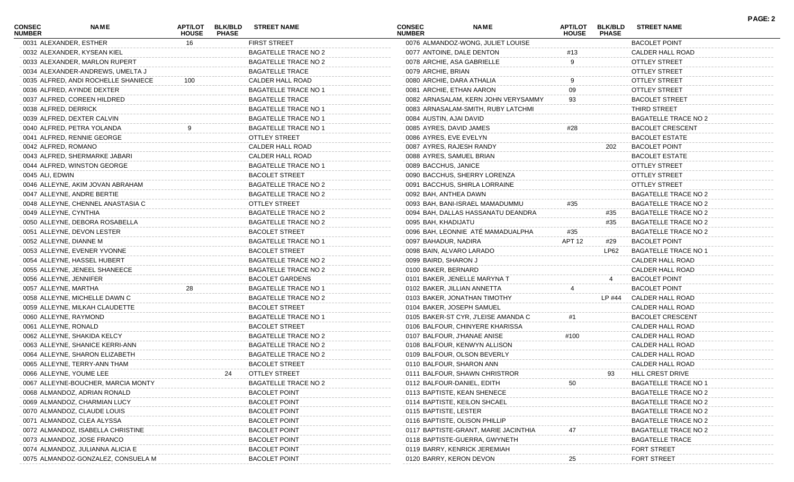| <b>CONSEC</b><br><b>NUMBER</b> | <b>NAME</b>                         | <b>HOUSE</b> | <b>PHASE</b> | APT/LOT BLK/BLD STREET NAME | <b>CONSEC</b><br><b>NUMBER</b> | <b>NAME</b>                          | <b>HOUSE</b> | <b>APT/LOT BLK/BLD</b><br><b>PHASE</b> | <b>STREET NAME</b>          |  |
|--------------------------------|-------------------------------------|--------------|--------------|-----------------------------|--------------------------------|--------------------------------------|--------------|----------------------------------------|-----------------------------|--|
|                                | 0031 ALEXANDER, ESTHER              | 16           |              | FIRST STREET                |                                | 0076 ALMANDOZ-WONG, JULIET LOUISE    |              |                                        | <b>BACOLET POINT</b>        |  |
|                                | 0032 ALEXANDER, KYSEAN KIEL         |              |              | <b>BAGATELLE TRACE NO 2</b> |                                | 0077 ANTOINE, DALE DENTON            | #13          |                                        | CALDER HALL ROAD            |  |
|                                | 0033 ALEXANDER, MARLON RUPERT       |              |              | <b>BAGATELLE TRACE NO 2</b> |                                | 0078 ARCHIE, ASA GABRIELLE           | 9            |                                        | <b>OTTLEY STREET</b>        |  |
|                                | 0034 ALEXANDER-ANDREWS, UMELTA J    |              |              | <b>BAGATELLE TRACE</b>      | 0079 ARCHIE, BRIAN             |                                      |              |                                        | <b>OTTLEY STREET</b>        |  |
|                                | 0035 ALFRED, ANDI ROCHELLE SHANIECE | 100          |              | CALDER HALL ROAD            |                                | 0080 ARCHIE, DARA ATHALIA            |              |                                        | <b>OTTLEY STREET</b>        |  |
|                                | 0036 ALFRED, AYINDE DEXTER          |              |              | <b>BAGATELLE TRACE NO 1</b> |                                | 0081 ARCHIE, ETHAN AARON             | 09           |                                        | <b>OTTLEY STREET</b>        |  |
|                                | 0037 ALFRED, COREEN HILDRED         |              |              | <b>BAGATELLE TRACE</b>      |                                | 0082 ARNASALAM, KERN JOHN VERYSAMMY  | 93           |                                        | <b>BACOLET STREET</b>       |  |
|                                | 0038 ALFRED, DERRICK                |              |              | <b>BAGATELLE TRACE NO 1</b> |                                | 0083 ARNASALAM-SMITH, RUBY LATCHMI   |              |                                        | THIRD STREET                |  |
|                                | 0039 ALFRED, DEXTER CALVIN          |              |              | <b>BAGATELLE TRACE NO 1</b> | 0084 AUSTIN, AJAI DAVID        |                                      |              |                                        | <b>BAGATELLE TRACE NO 2</b> |  |
|                                | 0040 ALFRED, PETRA YOLANDA          |              |              | <b>BAGATELLE TRACE NO 1</b> |                                | 0085 AYRES, DAVID JAMES              | #28          |                                        | <b>BACOLET CRESCENT</b>     |  |
|                                | 0041 ALFRED, RENNIE GEORGE          |              |              | OTTLEY STREET               |                                | 0086 AYRES, EVE EVELYN               |              |                                        | <b>BACOLET ESTATE</b>       |  |
|                                | 0042 ALFRED, ROMANO                 |              |              | CALDER HALL ROAD            |                                | 0087 AYRES, RAJESH RANDY             |              | 202                                    | <b>BACOLET POINT</b>        |  |
|                                | 0043 ALFRED, SHERMARKE JABARI       |              |              | CALDER HALL ROAD            |                                | 0088 AYRES, SAMUEL BRIAN             |              |                                        | <b>BACOLET ESTATE</b>       |  |
|                                | 0044 ALFRED, WINSTON GEORGE         |              |              | <b>BAGATELLE TRACE NO 1</b> | 0089 BACCHUS, JANICE           |                                      |              |                                        | <b>OTTLEY STREET</b>        |  |
| 0045 ALI, EDWIN                |                                     |              |              | <b>BACOLET STREET</b>       |                                | 0090 BACCHUS, SHERRY LORENZA         |              |                                        | <b>OTTLEY STREET</b>        |  |
|                                | 0046 ALLEYNE, AKIM JOVAN ABRAHAM    |              |              | <b>BAGATELLE TRACE NO 2</b> |                                | 0091 BACCHUS, SHIRLA LORRAINE        |              |                                        | <b>OTTLEY STREET</b>        |  |
|                                | 0047 ALLEYNE, ANDRE BERTIE          |              |              | <b>BAGATELLE TRACE NO 2</b> |                                | 0092 BAH, ANTHEA DAWN                |              |                                        | <b>BAGATELLE TRACE NO 2</b> |  |
|                                | 0048 ALLEYNE, CHENNEL ANASTASIA C   |              |              | <b>OTTLEY STREET</b>        |                                | 0093 BAH, BANI-ISRAEL MAMADUMMU      | #35          |                                        | <b>BAGATELLE TRACE NO 2</b> |  |
|                                | 0049 ALLEYNE, CYNTHIA               |              |              | <b>BAGATELLE TRACE NO 2</b> |                                | 0094 BAH, DALLAS HASSANATU DEANDRA   |              | #35                                    | <b>BAGATELLE TRACE NO 2</b> |  |
|                                | 0050 ALLEYNE, DEBORA ROSABELLA      |              |              | <b>BAGATELLE TRACE NO 2</b> | 0095 BAH, KHADIJATU            |                                      |              | #35                                    | <b>BAGATELLE TRACE NO 2</b> |  |
|                                | 0051 ALLEYNE, DEVON LESTER          |              |              | <b>BACOLET STREET</b>       |                                | 0096 BAH, LEONNIE ATÉ MAMADUALPHA    | #35          |                                        | BAGATELLE TRACE NO 2        |  |
|                                | 0052 ALLEYNE, DIANNE M              |              |              | <b>BAGATELLE TRACE NO 1</b> | 0097 BAHADUR, NADIRA           |                                      | APT 12       | #29                                    | <b>BACOLET POINT</b>        |  |
|                                | 0053 ALLEYNE, EVENER YVONNE         |              |              | <b>BACOLET STREET</b>       |                                | 0098 BAIN, ALVARO LARADO             |              | LP62                                   | <b>BAGATELLE TRACE NO 1</b> |  |
|                                | 0054 ALLEYNE, HASSEL HUBERT         |              |              | <b>BAGATELLE TRACE NO 2</b> | 0099 BAIRD, SHARON J           |                                      |              |                                        | CALDER HALL ROAD            |  |
|                                | 0055 ALLEYNE, JENEEL SHANEECE       |              |              | <b>BAGATELLE TRACE NO 2</b> | 0100 BAKER, BERNARD            |                                      |              |                                        | <b>CALDER HALL ROAD</b>     |  |
|                                | 0056 ALLEYNE, JENNIFER              |              |              | <b>BACOLET GARDENS</b>      |                                | 0101 BAKER, JENELLE MARYNA T         |              | 4                                      | <b>BACOLET POINT</b>        |  |
|                                | 0057 ALLEYNE, MARTHA                |              |              | <b>BAGATELLE TRACE NO 1</b> |                                | 0102 BAKER, JILLIAN ANNETTA          |              |                                        | <b>BACOLET POINT</b>        |  |
|                                | 0058 ALLEYNE, MICHELLE DAWN C       |              |              | <b>BAGATELLE TRACE NO 2</b> |                                | 0103 BAKER, JONATHAN TIMOTHY         |              |                                        | LP #44 CALDER HALL ROAD     |  |
|                                | 0059 ALLEYNE, MILKAH CLAUDETTE      |              |              | <b>BACOLET STREET</b>       |                                | 0104 BAKER, JOSEPH SAMUEL            |              |                                        | <b>CALDER HALL ROAD</b>     |  |
|                                | 0060 ALLEYNE, RAYMOND               |              |              | <b>BAGATELLE TRACE NO 1</b> |                                | 0105 BAKER-ST CYR, J'LEISE AMANDA C  | #1           |                                        | <b>BACOLET CRESCENT</b>     |  |
|                                | 0061 ALLEYNE, RONALD                |              |              | <b>BACOLET STREET</b>       |                                | 0106 BALFOUR, CHINYERE KHARISSA      |              |                                        | CALDER HALL ROAD            |  |
|                                | 0062 ALLEYNE, SHAKIDA KELCY         |              |              | <b>BAGATELLE TRACE NO 2</b> |                                | 0107 BALFOUR, J'HANAE ANISE          | #100         |                                        | CALDER HALL ROAD            |  |
|                                | 0063 ALLEYNE, SHANICE KERRI-ANN     |              |              | <b>BAGATELLE TRACE NO 2</b> |                                | 0108 BALFOUR, KENWYN ALLISON         |              |                                        | CALDER HALL ROAD            |  |
|                                | 0064 ALLEYNE, SHARON ELIZABETH      |              |              | <b>BAGATELLE TRACE NO 2</b> |                                | 0109 BALFOUR, OLSON BEVERLY          |              |                                        | CALDER HALL ROAD            |  |
|                                | 0065 ALLEYNE, TERRY-ANN THAM        |              |              | <b>BACOLET STREET</b>       |                                | 0110 BALFOUR, SHARON ANN             |              |                                        | <b>CALDER HALL ROAD</b>     |  |
|                                | 0066 ALLEYNE, YOUME LEE             |              |              | OTTLEY STREET               |                                | 0111 BALFOUR, SHAWN CHRISTROR        |              |                                        | HILL CREST DRIVE            |  |
|                                | 0067 ALLEYNE-BOUCHER, MARCIA MONTY  |              |              | <b>BAGATELLE TRACE NO 2</b> |                                | 0112 BALFOUR-DANIEL, EDITH           | 50           |                                        | <b>BAGATELLE TRACE NO 1</b> |  |
|                                | 0068 ALMANDOZ, ADRIAN RONALD        |              |              | <b>BACOLET POINT</b>        |                                | 0113 BAPTISTE, KEAN SHENECE          |              |                                        | BAGATELLE TRACE NO 2        |  |
|                                | 0069 ALMANDOZ, CHARMIAN LUCY        |              |              | <b>BACOLET POINT</b>        |                                | 0114 BAPTISTE, KEILON SHCAEL         |              |                                        | BAGATELLE TRACE NO 2        |  |
|                                | 0070 ALMANDOZ, CLAUDE LOUIS         |              |              | <b>BACOLET POINT</b>        | 0115 BAPTISTE, LESTER          |                                      |              |                                        | <b>BAGATELLE TRACE NO 2</b> |  |
|                                | 0071 ALMANDOZ, CLEA ALYSSA          |              |              | <b>BACOLET POINT</b>        |                                | 0116 BAPTISTE, OLISON PHILLIP        |              |                                        | <b>BAGATELLE TRACE NO 2</b> |  |
|                                | 0072 ALMANDOZ, ISABELLA CHRISTINE   |              |              | <b>BACOLET POINT</b>        |                                | 0117 BAPTISTE-GRANT, MARIE JACINTHIA |              |                                        | <b>BAGATELLE TRACE NO 2</b> |  |
|                                | 0073 ALMANDOZ, JOSE FRANCO          |              |              | <b>BACOLET POINT</b>        |                                | 0118 BAPTISTE-GUERRA, GWYNETH        |              |                                        | <b>BAGATELLE TRACE</b>      |  |
|                                | 0074 ALMANDOZ, JULIANNA ALICIA E    |              |              | <b>BACOLET POINT</b>        |                                | 0119 BARRY, KENRICK JEREMIAH         |              |                                        | <b>FORT STREET</b>          |  |
|                                | 0075 ALMANDOZ-GONZALEZ, CONSUELA M  |              |              | <b>BACOLET POINT</b>        |                                | 0120 BARRY, KERON DEVON              |              |                                        | <b>FORT STREET</b>          |  |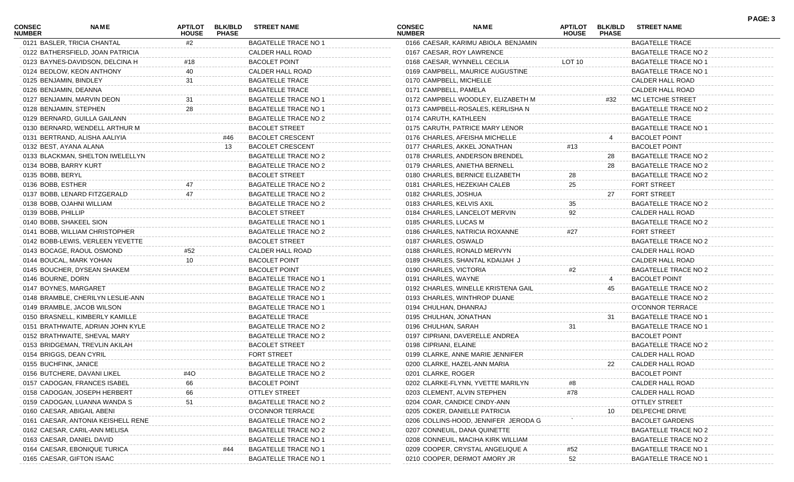| <b>CONSEC</b><br><b>NUMBER</b> | <b>NAME</b>                        | APT/LOT<br><b>HOUSE</b> | <b>BLK/BLD</b><br><b>PHASE</b> | <b>STREET NAME</b>          | <b>CONSEC</b><br><b>NUMBER</b> | <b>NAME</b>                          | APT/LOT<br><b>HOUSE</b> | <b>BLK/BLD</b><br><b>PHASE</b> | <b>STREET NAME</b>          | PAGE: 3 |
|--------------------------------|------------------------------------|-------------------------|--------------------------------|-----------------------------|--------------------------------|--------------------------------------|-------------------------|--------------------------------|-----------------------------|---------|
|                                | 0121 BASLER, TRICIA CHANTAL        | #2                      |                                | <b>BAGATELLE TRACE NO 1</b> |                                | 0166 CAESAR, KARIMU ABIOLA BENJAMIN  |                         |                                | <b>BAGATELLE TRACE</b>      |         |
|                                | 0122 BATHERSFIELD, JOAN PATRICIA   |                         |                                | CALDER HALL ROAD            |                                | 0167 CAESAR, ROY LAWRENCE            |                         |                                | BAGATELLE TRACE NO 2        |         |
|                                | 0123 BAYNES-DAVIDSON, DELCINA H    | #18                     |                                | <b>BACOLET POINT</b>        |                                | 0168 CAESAR, WYNNELL CECILIA         | LOT 10                  |                                | <b>BAGATELLE TRACE NO 1</b> |         |
|                                | 0124 BEDLOW, KEON ANTHONY          | 40                      |                                | CALDER HALL ROAD            |                                | 0169 CAMPBELL, MAURICE AUGUSTINE     |                         |                                | <b>BAGATELLE TRACE NO 1</b> |         |
| 0125 BENJAMIN, BINDLEY         |                                    | 31                      |                                | <b>BAGATELLE TRACE</b>      | 0170 CAMPBELL, MICHELLE        |                                      |                         |                                | CALDER HALL ROAD            |         |
| 0126 BENJAMIN, DEANNA          |                                    |                         |                                | <b>BAGATELLE TRACE</b>      | 0171 CAMPBELL, PAMELA          |                                      |                         |                                | CALDER HALL ROAD            |         |
|                                | 0127 BENJAMIN, MARVIN DEON         |                         |                                | <b>BAGATELLE TRACE NO 1</b> |                                | 0172 CAMPBELL WOODLEY, ELIZABETH M   |                         | #32                            | MC LETCHIE STREET           |         |
| 0128 BENJAMIN, STEPHEN         |                                    | 28                      |                                | <b>BAGATELLE TRACE NO 1</b> |                                | 0173 CAMPBELL-ROSALES, KERLISHA N    |                         |                                | BAGATELLE TRACE NO 2        |         |
|                                | 0129 BERNARD, GUILLA GAILANN       |                         |                                | <b>BAGATELLE TRACE NO 2</b> | 0174 CARUTH, KATHLEEN          |                                      |                         |                                | <b>BAGATELLE TRACE</b>      |         |
|                                | 0130 BERNARD, WENDELL ARTHUR M     |                         |                                | <b>BACOLET STREET</b>       |                                | 0175 CARUTH, PATRICE MARY LENOR      |                         |                                | <b>BAGATELLE TRACE NO 1</b> |         |
|                                | 0131 BERTRAND, ALISHA AALIYIA      |                         | #46                            | <b>BACOLET CRESCENT</b>     |                                | 0176 CHARLES, AFEISHA MICHELLE       |                         |                                | <b>BACOLET POINT</b>        |         |
| 0132 BEST, AYANA ALANA         |                                    |                         | 13                             | <b>BACOLET CRESCENT</b>     |                                | 0177 CHARLES, AKKEL JONATHAN         | #13                     |                                | <b>BACOLET POINT</b>        |         |
|                                | 0133 BLACKMAN, SHELTON IWELELLYN   |                         |                                | <b>BAGATELLE TRACE NO 2</b> |                                | 0178 CHARLES, ANDERSON BRENDEL       |                         | 28                             | BAGATELLE TRACE NO 2        |         |
| 0134 BOBB, BARRY KURT          |                                    |                         |                                | BAGATELLE TRACE NO 2        |                                | 0179 CHARLES, ANIETHA BERNELL        |                         | 28                             | BAGATELLE TRACE NO 2        |         |
| 0135 BOBB, BERYL               |                                    |                         |                                | <b>BACOLET STREET</b>       |                                | 0180 CHARLES, BERNICE ELIZABETH      | 28                      |                                | BAGATELLE TRACE NO 2        |         |
| 0136 BOBB, ESTHER              |                                    |                         |                                | <b>BAGATELLE TRACE NO 2</b> |                                | 0181 CHARLES, HEZEKIAH CALEB         | 25                      |                                | <b>FORT STREET</b>          |         |
|                                | 0137 BOBB, LENARD FITZGERALD       | 47                      |                                | <b>BAGATELLE TRACE NO 2</b> | 0182 CHARLES, JOSHUA           |                                      |                         | 27                             | <b>FORT STREET</b>          |         |
|                                | 0138 BOBB, OJAHNI WILLIAM          |                         |                                | <b>BAGATELLE TRACE NO 2</b> | 0183 CHARLES, KELVIS AXIL      |                                      | 35                      |                                | BAGATELLE TRACE NO 2        |         |
| 0139 BOBB, PHILLIP             |                                    |                         |                                | <b>BACOLET STREET</b>       |                                | 0184 CHARLES, LANCELOT MERVIN        | 92                      |                                | CALDER HALL ROAD            |         |
| 0140 BOBB, SHAKEEL SION        |                                    |                         |                                | <b>BAGATELLE TRACE NO 1</b> | 0185 CHARLES, LUCAS M          |                                      |                         |                                | BAGATELLE TRACE NO 2        |         |
|                                | 0141 BOBB, WILLIAM CHRISTOPHER     |                         |                                | <b>BAGATELLE TRACE NO 2</b> |                                | 0186 CHARLES, NATRICIA ROXANNE       | #27                     |                                | <b>FORT STREET</b>          |         |
|                                | 0142 BOBB-LEWIS, VERLEEN YEVETTE   |                         |                                | <b>BACOLET STREET</b>       | 0187 CHARLES, OSWALD           |                                      |                         |                                | BAGATELLE TRACE NO 2        |         |
|                                | 0143 BOCAGE, RAOUL OSMOND          | #52                     |                                | CALDER HALL ROAD            |                                | 0188 CHARLES, RONALD MERVYN          |                         |                                | CALDER HALL ROAD            |         |
|                                | 0144 BOUCAL, MARK YOHAN            | 10                      |                                | <b>BACOLET POINT</b>        |                                | 0189 CHARLES, SHANTAL KDAIJAH J      |                         |                                | CALDER HALL ROAD            |         |
|                                | 0145 BOUCHER, DYSEAN SHAKEM        |                         |                                | <b>BACOLET POINT</b>        | 0190 CHARLES, VICTORIA         |                                      | #2                      |                                | BAGATELLE TRACE NO 2        |         |
| 0146 BOURNE, DORN              |                                    |                         |                                | <b>BAGATELLE TRACE NO 1</b> | 0191 CHARLES, WAYNE            |                                      |                         |                                | <b>BACOLET POINT</b>        |         |
| 0147 BOYNES, MARGARET          |                                    |                         |                                | <b>BAGATELLE TRACE NO 2</b> |                                | 0192 CHARLES, WINELLE KRISTENA GAIL  |                         | 45                             | BAGATELLE TRACE NO 2        |         |
|                                | 0148 BRAMBLE, CHERILYN LESLIE-ANN  |                         |                                | <b>BAGATELLE TRACE NO 1</b> |                                | 0193 CHARLES, WINTHROP DUANE         |                         |                                | <b>BAGATELLE TRACE NO 2</b> |         |
|                                | 0149 BRAMBLE, JACOB WILSON         |                         |                                | <b>BAGATELLE TRACE NO 1</b> | 0194 CHULHAN, DHANRAJ          |                                      |                         |                                | O'CONNOR TERRACE            |         |
|                                | 0150 BRASNELL, KIMBERLY KAMILLE    |                         |                                | <b>BAGATELLE TRACE</b>      | 0195 CHULHAN, JONATHAN         |                                      |                         | 31                             | <b>BAGATELLE TRACE NO 1</b> |         |
|                                | 0151 BRATHWAITE, ADRIAN JOHN KYLE  |                         |                                | <b>BAGATELLE TRACE NO 2</b> | 0196 CHULHAN, SARAH            |                                      | 31                      |                                | <b>BAGATELLE TRACE NO 1</b> |         |
|                                | 0152 BRATHWAITE, SHEVAL MARY       |                         |                                | <b>BAGATELLE TRACE NO 2</b> |                                | 0197 CIPRIANI, DAVERELLE ANDREA      |                         |                                | <b>BACOLET POINT</b>        |         |
|                                | 0153 BRIDGEMAN, TREVLIN AKILAH     |                         |                                | <b>BACOLET STREET</b>       | 0198 CIPRIANI, ELAINE          |                                      |                         |                                | BAGATELLE TRACE NO 2        |         |
| 0154 BRIGGS, DEAN CYRIL        |                                    |                         |                                | FORT STREET                 |                                | 0199 CLARKE, ANNE MARIE JENNIFER     |                         |                                | CALDER HALL ROAD            |         |
| 0155 BUCHFINK, JANICE          |                                    |                         |                                | <b>BAGATELLE TRACE NO 2</b> |                                | 0200 CLARKE, HAZEL-ANN MARIA         |                         | 22                             | CALDER HALL ROAD            |         |
|                                | 0156 BUTCHERE, DAVANI LIKEL        | #40                     |                                | BAGATELLE TRACE NO 2        | 0201 CLARKE, ROGER             |                                      |                         |                                | <b>BACOLET POINT</b>        |         |
|                                | 0157 CADOGAN, FRANCES ISABEL       | 66                      |                                | <b>BACOLET POINT</b>        |                                | 0202 CLARKE-FLYNN, YVETTE MARILYN    |                         |                                | CALDER HALL ROAD            |         |
|                                | 0158 CADOGAN, JOSEPH HERBERT       | 66                      |                                | <b>OTTLEY STREET</b>        |                                | 0203 CLEMENT, ALVIN STEPHEN          | #78                     |                                | CALDER HALL ROAD            |         |
|                                | 0159 CADOGAN, LUANNA WANDA S       | 51                      |                                | <b>BAGATELLE TRACE NO 2</b> |                                | 0204 COAR, CANDICE CINDY-ANN         |                         |                                | <b>OTTLEY STREET</b>        |         |
|                                | 0160 CAESAR, ABIGAIL ABENI         |                         |                                | O'CONNOR TERRACE            |                                | 0205 COKER, DANIELLE PATRICIA        |                         | 10                             | DELPECHE DRIVE              |         |
|                                | 0161 CAESAR, ANTONIA KEISHELL RENE |                         |                                | <b>BAGATELLE TRACE NO 2</b> |                                | 0206 COLLINS-HOOD, JENNIFER JERODA G |                         |                                | <b>BACOLET GARDENS</b>      |         |
|                                | 0162 CAESAR, CARIL-ANN MELISA      |                         |                                | <b>BAGATELLE TRACE NO 2</b> |                                | 0207 CONNEUIL, DANA QUINETTE         |                         |                                | <b>BAGATELLE TRACE NO 2</b> |         |
|                                | 0163 CAESAR, DANIEL DAVID          |                         |                                | <b>BAGATELLE TRACE NO 1</b> |                                | 0208 CONNEUIL, MACIHA KIRK WILLIAM   |                         |                                | <b>BAGATELLE TRACE NO 2</b> |         |
|                                | 0164 CAESAR, EBONIQUE TURICA       |                         | #44                            | <b>BAGATELLE TRACE NO 1</b> |                                | 0209 COOPER, CRYSTAL ANGELIQUE A     | #52                     |                                | <b>BAGATELLE TRACE NO 1</b> |         |
|                                | 0165 CAESAR, GIFTON ISAAC          |                         |                                | <b>BAGATELLE TRACE NO 1</b> |                                | 0210 COOPER, DERMOT AMORY JR         | 52                      |                                | <b>BAGATELLE TRACE NO 1</b> |         |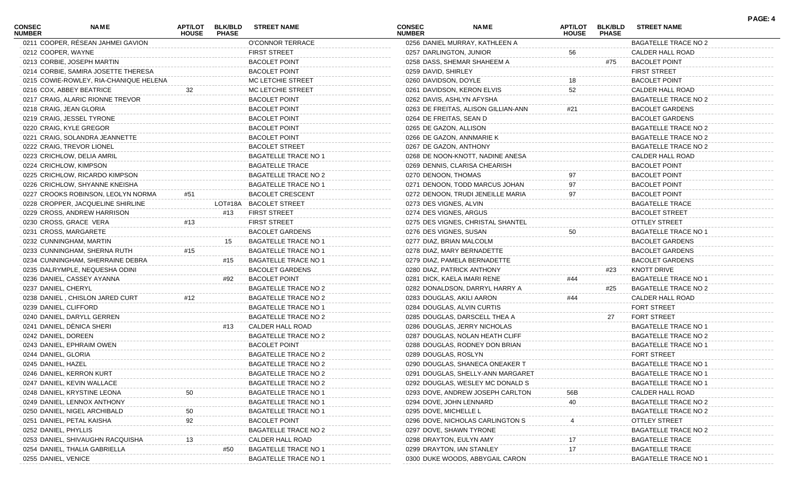| CONSEC<br><b>NUMBER</b> | NAME                                   | <b>APT/LOT</b><br><b>HOUSE</b> | <b>BLK/BLD</b><br><b>PHASE</b> | <b>STREET NAME</b>          | CONSEC<br><b>NUMBER</b>   | <b>NAME</b>                         | <b>APT/LOT</b><br><b>HOUSE</b> | <b>BLK/BLD</b><br><b>PHASE</b> | <b>STREET NAME</b>                           | PAGE: 4 |
|-------------------------|----------------------------------------|--------------------------------|--------------------------------|-----------------------------|---------------------------|-------------------------------------|--------------------------------|--------------------------------|----------------------------------------------|---------|
|                         | 0211 COOPER, RÉSEAN JAHMEI GAVION      |                                |                                | O'CONNOR TERRACE            |                           | 0256 DANIEL MURRAY, KATHLEEN A      |                                |                                | <b>BAGATELLE TRACE NO 2</b>                  |         |
| 0212 COOPER, WAYNE      |                                        |                                |                                | <b>FIRST STREET</b>         | 0257 DARLINGTON, JUNIOR   |                                     | 56                             |                                | CALDER HALL ROAD                             |         |
|                         | 0213 CORBIE, JOSEPH MARTIN             |                                |                                | <b>BACOLET POINT</b>        |                           | 0258 DASS, SHEMAR SHAHEEM A         |                                | #75                            | <b>BACOLET POINT</b>                         |         |
|                         | 0214 CORBIE, SAMIRA JOSETTE THERESA    |                                |                                | <b>BACOLET POINT</b>        | 0259 DAVID, SHIRLEY       |                                     |                                |                                | <b>FIRST STREET</b>                          |         |
|                         | 0215 COWIE-ROWLEY, RIA-CHANIQUE HELENA |                                |                                | MC LETCHIE STREET           | 0260 DAVIDSON, DOYLE      |                                     |                                |                                | <b>BACOLET POINT</b>                         |         |
|                         | 0216 COX, ABBEY BEATRICE               | 32                             |                                | MC LETCHIE STREET           |                           | 0261 DAVIDSON, KERON ELVIS          | 52                             |                                | CALDER HALL ROAD                             |         |
|                         | 0217 CRAIG, ALARIC RIONNE TREVOR       |                                |                                | <b>BACOLET POINT</b>        |                           | 0262 DAVIS, ASHLYN AFYSHA           |                                |                                | <b>BAGATELLE TRACE NO 2</b>                  |         |
| 0218 CRAIG, JEAN GLORIA |                                        |                                |                                | <b>BACOLET POINT</b>        |                           | 0263 DE FREITAS, ALISON GILLIAN-ANN | #21                            |                                | <b>BACOLET GARDENS</b>                       |         |
|                         | 0219 CRAIG, JESSEL TYRONE              |                                |                                | <b>BACOLET POINT</b>        | 0264 DE FREITAS, SEAN D   |                                     |                                |                                | <b>BACOLET GARDENS</b>                       |         |
|                         | 0220 CRAIG, KYLE GREGOR                |                                |                                | <b>BACOLET POINT</b>        | 0265 DE GAZON, ALLISON    |                                     |                                |                                | BAGATELLE TRACE NO 2                         |         |
|                         | 0221 CRAIG, SOLANDRA JEANNETTE         |                                |                                | <b>BACOLET POINT</b>        |                           | 0266 DE GAZON, ANNMARIE K           |                                |                                | BAGATELLE TRACE NO 2                         |         |
|                         | 0222 CRAIG, TREVOR LIONEL              |                                |                                | <b>BACOLET STREET</b>       | 0267 DE GAZON, ANTHONY    |                                     |                                |                                | <b>BAGATELLE TRACE NO 2</b>                  |         |
|                         | 0223 CRICHLOW, DELIA AMRIL             |                                |                                | <b>BAGATELLE TRACE NO 1</b> |                           | 0268 DE NOON-KNOTT, NADINE ANESA    |                                |                                | CALDER HALL ROAD                             |         |
|                         | 0224 CRICHLOW, KIMPSON                 |                                |                                | <b>BAGATELLE TRACE</b>      |                           | 0269 DENNIS, CLARISA CHEARISH       |                                |                                | <b>BACOLET POINT</b>                         |         |
|                         | 0225 CRICHLOW, RICARDO KIMPSON         |                                |                                | <b>BAGATELLE TRACE NO 2</b> | 0270 DENOON, THOMAS       |                                     |                                |                                | <b>BACOLET POINT</b>                         |         |
|                         | 0226 CRICHLOW, SHYANNE KNEISHA         |                                |                                | <b>BAGATELLE TRACE NO 1</b> |                           | 0271 DENOON, TODD MARCUS JOHAN      | 97                             |                                | <b>BACOLET POINT</b>                         |         |
|                         | 0227 CROOKS ROBINSON, LEOLYN NORMA     | #51                            |                                | <b>BACOLET CRESCENT</b>     |                           | 0272 DENOON, TRUDI JENEILLE MARIA   | 97                             |                                | <b>BACOLET POINT</b>                         |         |
|                         | 0228 CROPPER, JACQUELINE SHIRLINE      |                                |                                | LOT#18A BACOLET STREET      | 0273 DES VIGNES, ALVIN    |                                     |                                |                                | BAGATELLE TRACE                              |         |
|                         | 0229 CROSS, ANDREW HARRISON            |                                | #13                            | <b>FIRST STREET</b>         | 0274 DES VIGNES, ARGUS    |                                     |                                |                                | <b>BACOLET STREET</b>                        |         |
|                         | 0230 CROSS, GRACE VERA                 | #13                            |                                | <b>FIRST STREET</b>         |                           | 0275 DES VIGNES, CHRISTAL SHANTEL   |                                |                                | <b>OTTLEY STREET</b>                         |         |
|                         | 0231 CROSS, MARGARETE                  |                                |                                | <b>BACOLET GARDENS</b>      | 0276 DES VIGNES, SUSAN    |                                     | 50                             |                                | BAGATELLE TRACE NO 1                         |         |
|                         | 0232 CUNNINGHAM, MARTIN                |                                | 15                             | <b>BAGATELLE TRACE NO 1</b> | 0277 DIAZ, BRIAN MALCOLM  |                                     |                                |                                | <b>BACOLET GARDENS</b>                       |         |
|                         | 0233 CUNNINGHAM, SHERNA RUTH           | #15                            |                                | <b>BAGATELLE TRACE NO 1</b> |                           | 0278 DIAZ, MARY BERNADETTE          |                                |                                | <b>BACOLET GARDENS</b>                       |         |
|                         | 0234 CUNNINGHAM, SHERRAINE DEBRA       |                                | #15                            | <b>BAGATELLE TRACE NO 1</b> |                           | 0279 DIAZ, PAMELA BERNADETTE        |                                |                                | <b>BACOLET GARDENS</b>                       |         |
|                         | 0235 DALRYMPLE, NEQUESHA ODINI         |                                |                                | <b>BACOLET GARDENS</b>      |                           | 0280 DIAZ, PATRICK ANTHONY          |                                | #23                            | KNOTT DRIVE                                  |         |
|                         | 0236 DANIEL, CASSEY AYANNA             |                                | #92                            | <b>BACOLET POINT</b>        |                           | 0281 DICK, KAELA IMARI RENE         | #44                            |                                | <b>BAGATELLE TRACE NO 1</b>                  |         |
| 0237 DANIEL, CHERYL     |                                        |                                |                                | <b>BAGATELLE TRACE NO 2</b> |                           | 0282 DONALDSON, DARRYL HARRY A      |                                | #25                            | <b>BAGATELLE TRACE NO 2</b>                  |         |
|                         | 0238 DANIEL, CHISLON JARED CURT        | #12                            |                                | <b>BAGATELLE TRACE NO 2</b> | 0283 DOUGLAS, AKILI AARON |                                     | #44                            |                                | CALDER HALL ROAD                             |         |
| 0239 DANIEL, CLIFFORD   |                                        |                                |                                | <b>BAGATELLE TRACE NO 1</b> |                           | 0284 DOUGLAS, ALVIN CURTIS          |                                |                                | <b>FORT STREET</b>                           |         |
|                         | 0240 DANIEL, DARYLL GERREN             |                                |                                | <b>BAGATELLE TRACE NO 2</b> |                           | 0285 DOUGLAS, DARSCELL THEA A       |                                | 27                             | <b>FORT STREET</b>                           |         |
|                         | 0241 DANIEL, DÈNICA SHERI              |                                | #13                            | CALDER HALL ROAD            |                           | 0286 DOUGLAS, JERRY NICHOLAS        |                                |                                | <b>BAGATELLE TRACE NO 1</b>                  |         |
| 0242 DANIEL, DOREEN     |                                        |                                |                                | <b>BAGATELLE TRACE NO 2</b> |                           | 0287 DOUGLAS, NOLAN HEATH CLIFF     |                                |                                | <b>BAGATELLE TRACE NO 2</b>                  |         |
|                         | 0243 DANIEL, EPHRAIM OWEN              |                                |                                | <b>BACOLET POINT</b>        |                           | 0288 DOUGLAS, RODNEY DON BRIAN      |                                |                                | BAGATELLE TRACE NO 1                         |         |
| 0244 DANIEL, GLORIA     |                                        |                                |                                | <b>BAGATELLE TRACE NO 2</b> | 0289 DOUGLAS, ROSLYN      |                                     |                                |                                | <b>FORT STREET</b>                           |         |
| 0245 DANIEL, HAZEL      |                                        |                                |                                | <b>BAGATELLE TRACE NO 2</b> |                           | 0290 DOUGLAS, SHANECA ONEAKER T     |                                |                                | <b>BAGATELLE TRACE NO 1</b>                  |         |
|                         | 0246 DANIEL, KERRON KURT               |                                |                                | <b>BAGATELLE TRACE NO 2</b> |                           | 0291 DOUGLAS, SHELLY-ANN MARGARET   |                                |                                | <b>BAGATELLE TRACE NO 1</b>                  |         |
|                         |                                        |                                |                                |                             |                           | 0292 DOUGLAS, WESLEY MC DONALD S    |                                |                                |                                              |         |
|                         | 0247 DANIEL, KEVIN WALLACE             |                                |                                | <b>BAGATELLE TRACE NO 2</b> |                           | 0293 DOVE, ANDREW JOSEPH CARLTON    |                                |                                | BAGATELLE TRACE NO 1<br>CALDER HALL ROAD     |         |
|                         | 0248 DANIEL, KRYSTINE LEONA            |                                |                                | <b>BAGATELLE TRACE NO 1</b> |                           |                                     | 56B                            |                                |                                              |         |
|                         | 0249 DANIEL, LENNOX ANTHONY            |                                |                                | <b>BAGATELLE TRACE NO 1</b> | 0294 DOVE, JOHN LENNARD   |                                     | 40                             |                                | <b>BAGATELLE TRACE NO 2</b>                  |         |
|                         | 0250 DANIEL, NIGEL ARCHIBALD           | 50                             |                                | <b>BAGATELLE TRACE NO 1</b> | 0295 DOVE, MICHELLE L     |                                     |                                |                                | BAGATELLE TRACE NO 2<br><b>OTTLEY STREET</b> |         |
|                         | 0251 DANIEL, PETAL KAISHA              | 92                             |                                | <b>BACOLET POINT</b>        |                           | 0296 DOVE, NICHOLAS CARLINGTON S    |                                |                                |                                              |         |
| 0252 DANIEL, PHYLLIS    |                                        |                                |                                | <b>BAGATELLE TRACE NO 2</b> | 0297 DOVE, SHAWN TYRONE   |                                     |                                |                                | <b>BAGATELLE TRACE NO 2</b>                  |         |
|                         | 0253 DANIEL, SHIVAUGHN RACQUISHA       |                                |                                | CALDER HALL ROAD            | 0298 DRAYTON, EULYN AMY   |                                     |                                |                                | <b>BAGATELLE TRACE</b>                       |         |
|                         | 0254 DANIEL, THALIA GABRIELLA          |                                | #50                            | <b>BAGATELLE TRACE NO 1</b> |                           | 0299 DRAYTON, IAN STANLEY           | 17                             |                                | <b>BAGATELLE TRACE</b>                       |         |
| 0255 DANIEL, VENICE     |                                        |                                |                                | <b>BAGATELLE TRACE NO 1</b> |                           | 0300 DUKE WOODS, ABBYGAIL CARON     |                                |                                | <b>BAGATELLE TRACE NO 1</b>                  |         |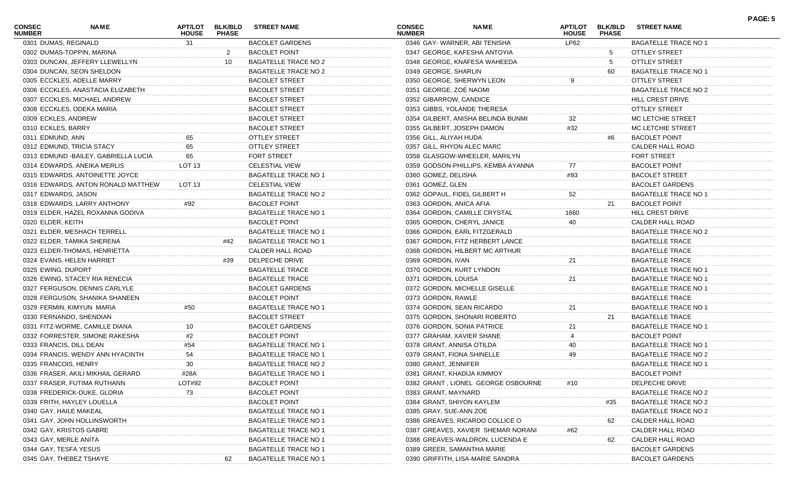| <b>CONSEC</b><br><b>NUMBER</b> | <b>NAME</b>                           | <b>APT/LOT</b><br><b>HOUSE</b> | <b>BLK/BLD</b><br><b>PHASE</b> | <b>STREET NAME</b>          | <b>CONSEC</b><br><b>NUMBER</b> | <b>NAME</b>                        | <b>APT/LOT</b><br><b>HOUSE</b> | <b>BLK/BLD</b><br><b>PHASE</b> | <b>STREET NAME</b>          | PAGE: 5 |
|--------------------------------|---------------------------------------|--------------------------------|--------------------------------|-----------------------------|--------------------------------|------------------------------------|--------------------------------|--------------------------------|-----------------------------|---------|
| 0301 DUMAS, REGINALD           |                                       | 31                             |                                | <b>BACOLET GARDENS</b>      |                                | 0346 GAY-WARNER, ABI TENISHA       | LP62                           |                                | <b>BAGATELLE TRACE NO 1</b> |         |
|                                | 0302 DUMAS-TOPPIN, MARINA             |                                | 2                              | <b>BACOLET POINT</b>        |                                | 0347 GEORGE, KAFESHA ANTOYIA       |                                | 5                              | OTTLEY STREET               |         |
|                                | 0303 DUNCAN, JEFFERY LLEWELLYN        |                                | 10                             | <b>BAGATELLE TRACE NO 2</b> |                                | 0348 GEORGE, KNAFESA WAHEEDA       |                                | 5                              | <b>OTTLEY STREET</b>        |         |
|                                | 0304 DUNCAN, SEON SHELDON             |                                |                                | <b>BAGATELLE TRACE NO 2</b> | 0349 GEORGE, SHARLIN           |                                    |                                | 60                             | <b>BAGATELLE TRACE NO 1</b> |         |
|                                | 0305 ECCKLES, ADELLE MARRY            |                                |                                | <b>BACOLET STREET</b>       |                                | 0350 GEORGE, SHERWYN LEON          |                                |                                | <b>OTTLEY STREET</b>        |         |
|                                | 0306 ECCKLES, ANASTACIA ELIZABETH     |                                |                                | <b>BACOLET STREET</b>       | 0351 GEORGE, ZOÈ NAOMI         |                                    |                                |                                | <b>BAGATELLE TRACE NO 2</b> |         |
|                                | 0307 ECCKLES, MICHAEL ANDREW          |                                |                                | <b>BACOLET STREET</b>       | 0352 GIBARROW, CANDICE         |                                    |                                |                                | HILL CREST DRIVE            |         |
|                                | 0308 ECCKLES, ODEKA MARIA             |                                |                                | <b>BACOLET STREET</b>       |                                | 0353 GIBBS, YOLANDE THERESA        |                                |                                | <b>OTTLEY STREET</b>        |         |
| 0309 ECKLES, ANDREW            |                                       |                                |                                | <b>BACOLET STREET</b>       |                                | 0354 GILBERT, ANISHA BELINDA BUNMI | 32                             |                                | MC LETCHIE STREET           |         |
| 0310 ECKLES, BARRY             |                                       |                                |                                | <b>BACOLET STREET</b>       |                                | 0355 GILBERT, JOSEPH DAMON         | #32                            |                                | MC LETCHIE STREET           |         |
| 0311 EDMUND, ANN               |                                       |                                |                                | <b>OTTLEY STREET</b>        | 0356 GILL, ALIYAH HUDA         |                                    |                                | #6                             | <b>BACOLET POINT</b>        |         |
|                                | 0312 EDMUND, TRICIA STACY             | 65                             |                                | OTTLEY STREET               |                                | 0357 GILL, RHYON ALEC MARC         |                                |                                | CALDER HALL ROAD            |         |
|                                | 0313 EDMUND - BAILEY, GABRIELLA LUCIA | 65                             |                                | <b>FORT STREET</b>          |                                | 0358 GLASGOW-WHEELER, MARILYN      |                                |                                | <b>FORT STREET</b>          |         |
|                                | 0314 EDWARDS, ANEIKA MERLIS           | LOT 13                         |                                | <b>CELESTIAL VIEW</b>       |                                | 0359 GODSON-PHILLIPS, KEMBA AYANNA |                                |                                | <b>BACOLET POINT</b>        |         |
|                                | 0315 EDWARDS, ANTOINETTE JOYCE        |                                |                                | <b>BAGATELLE TRACE NO 1</b> | 0360 GOMEZ, DELISHA            |                                    | #93                            |                                | <b>BACOLET STREET</b>       |         |
|                                | 0316 EDWARDS, ANTON RONALD MATTHEW    | LOT 13                         |                                | <b>CELESTIAL VIEW</b>       | 0361 GOMEZ, GLEN               |                                    |                                |                                | <b>BACOLET GARDENS</b>      |         |
| 0317 EDWARDS, JASON            |                                       |                                |                                | <b>BAGATELLE TRACE NO 2</b> |                                | 0362 GOPAUL, FIDEL GILBERT H       | 52                             |                                | <b>BAGATELLE TRACE NO 1</b> |         |
|                                | 0318 EDWARDS, LARRY ANTHONY           | #92                            |                                | <b>BACOLET POINT</b>        | 0363 GORDON, ANICA AFIA        |                                    |                                | 21                             | <b>BACOLET POINT</b>        |         |
|                                | 0319 ELDER, HAZEL ROXANNA GODIVA      |                                |                                | <b>BAGATELLE TRACE NO 1</b> |                                | 0364 GORDON, CAMILLE CRYSTAL       | 1660                           |                                | HILL CREST DRIVE            |         |
| 0320 ELDER, KEITH              |                                       |                                |                                | <b>BACOLET POINT</b>        |                                | 0365 GORDON, CHERYL JANICE         | 40                             |                                | CALDER HALL ROAD            |         |
|                                | 0321 ELDER, MESHACH TERRELL           |                                |                                | <b>BAGATELLE TRACE NO 1</b> |                                | 0366 GORDON, EARL FITZGERALD       |                                |                                | BAGATELLE TRACE NO 2        |         |
|                                | 0322 ELDER, TAMIKA SHERENA            |                                | #42                            | <b>BAGATELLE TRACE NO 1</b> |                                | 0367 GORDON, FITZ HERBERT LANCE    |                                |                                | <b>BAGATELLE TRACE</b>      |         |
|                                | 0323 ELDER-THOMAS, HENRIETTA          |                                |                                | CALDER HALL ROAD            |                                | 0368 GORDON, HILBERT MC ARTHUR     |                                |                                | <b>BAGATELLE TRACE</b>      |         |
|                                | 0324 EVANS, HELEN HARRIET             |                                | #39                            | DELPECHE DRIVE              | 0369 GORDON, IVAN              |                                    | 21                             |                                | <b>BAGATELLE TRACE</b>      |         |
| 0325 EWING, DUPORT             |                                       |                                |                                | <b>BAGATELLE TRACE</b>      |                                | 0370 GORDON, KURT LYNDON           |                                |                                | <b>BAGATELLE TRACE NO 1</b> |         |
|                                | 0326 EWING, STACEY RIA RENECIA        |                                |                                | <b>BAGATELLE TRACE</b>      | 0371 GORDON, LOUISA            |                                    | 21                             |                                | <b>BAGATELLE TRACE NO 1</b> |         |
|                                | 0327 FERGUSON, DENNIS CARLYLE         |                                |                                | <b>BACOLET GARDENS</b>      |                                | 0372 GORDON, MICHELLE GISELLE      |                                |                                | <b>BAGATELLE TRACE NO 1</b> |         |
|                                | 0328 FERGUSON, SHANIKA SHANEEN        |                                |                                | <b>BACOLET POINT</b>        | 0373 GORDON, RAWLE             |                                    |                                |                                | <b>BAGATELLE TRACE</b>      |         |
|                                | 0329 FERMIN, KIMYUN MARIA             | #50                            |                                | <b>BAGATELLE TRACE NO 1</b> |                                | 0374 GORDON, SEAN RICARDO          | 21                             |                                | <b>BAGATELLE TRACE NO 1</b> |         |
|                                | 0330 FERNANDO, SHENDIAN               |                                |                                | <b>BACOLET STREET</b>       |                                | 0375 GORDON, SHONARI ROBERTO       |                                | 21                             | <b>BAGATELLE TRACE</b>      |         |
|                                | 0331 FITZ-WORME, CAMILLE DIANA        |                                |                                | <b>BACOLET GARDENS</b>      |                                | 0376 GORDON, SONIA PATRICE         | 21                             |                                | <b>BAGATELLE TRACE NO 1</b> |         |
|                                | 0332 FORRESTER, SIMONE RAKESHA        |                                |                                | <b>BACOLET POINT</b>        |                                | 0377 GRAHAM, XAVIER SHANE          |                                |                                | <b>BACOLET POINT</b>        |         |
|                                | 0333 FRANCIS, DILL DEAN               | #54                            |                                | <b>BAGATELLE TRACE NO 1</b> | 0378 GRANT, ANNISA OTILDA      |                                    | 40                             |                                | <b>BAGATELLE TRACE NO 1</b> |         |
|                                | 0334 FRANCIS, WENDY ANN HYACINTH      | 54                             |                                | <b>BAGATELLE TRACE NO 1</b> |                                | 0379 GRANT, FIONA SHINELLE         | 49                             |                                | BAGATELLE TRACE NO 2        |         |
| 0335 FRANCOIS, HENRY           |                                       | 30                             |                                | <b>BAGATELLE TRACE NO 2</b> | 0380 GRANT, JENNIFER           |                                    |                                |                                | <b>BAGATELLE TRACE NO 1</b> |         |
|                                | 0336 FRASER, AKILI MIKHAIL GERARD     | #28A                           |                                | <b>BAGATELLE TRACE NO 1</b> |                                | 0381 GRANT, KHADIJA KIMMOY         |                                |                                | <b>BACOLET POINT</b>        |         |
|                                | 0337 FRASER, FUTIMA RUTHANN           | LOT#92                         |                                | <b>BACOLET POINT</b>        |                                | 0382 GRANT, LIONEL GEORGE OSBOURNE | #10                            |                                | DELPECHE DRIVE              |         |
|                                | 0338 FREDERICK-DUKE, GLORIA           | 73                             |                                | <b>BACOLET POINT</b>        | 0383 GRANT, MAYNARD            |                                    |                                |                                | <b>BAGATELLE TRACE NO 2</b> |         |
|                                | 0339 FRITH, HAYLEY LOUELLA            |                                |                                | <b>BACOLET POINT</b>        | 0384 GRANT, SHIYON KAYLEM      |                                    |                                | #35                            | <b>BAGATELLE TRACE NO 2</b> |         |
|                                | 0340 GAY, HAILE MAKEAL                |                                |                                | <b>BAGATELLE TRACE NO</b>   | 0385 GRAY, SUE-ANN ZOE         |                                    |                                |                                | <b>BAGATELLE TRACE NO 2</b> |         |
|                                | 0341 GAY, JOHN HOLLINSWORTH           |                                |                                | <b>BAGATELLE TRACE NO 1</b> |                                | 0386 GREAVES, RICARDO COLLICE O    |                                | 62                             | CALDER HALL ROAD            |         |
|                                | 0342 GAY, KRISTOS GABRE               |                                |                                | <b>BAGATELLE TRACE NO 1</b> |                                | 0387 GREAVES, XAVIER SHEMAR NORANI |                                |                                | <b>CALDER HALL ROAD</b>     |         |
| 0343 GAY, MERLE ANITA          |                                       |                                |                                | <b>BAGATELLE TRACE NO 1</b> |                                | 0388 GREAVES-WALDRON, LUCENDA E    | #62                            | 62                             | CALDER HALL ROAD            |         |
| 0344 GAY, TESFA YESUS          |                                       |                                |                                | <b>BAGATELLE TRACE NO 1</b> |                                | 0389 GREER, SAMANTHA MARIE         |                                |                                | <b>BACOLET GARDENS</b>      |         |
|                                |                                       |                                | 62                             |                             |                                | 0390 GRIFFITH, LISA-MARIE SANDRA   |                                |                                |                             |         |
|                                | 0345 GAY, THEBEZ TSHAYE               |                                |                                | <b>BAGATELLE TRACE NO 1</b> |                                |                                    |                                |                                | <b>BACOLET GARDENS</b>      |         |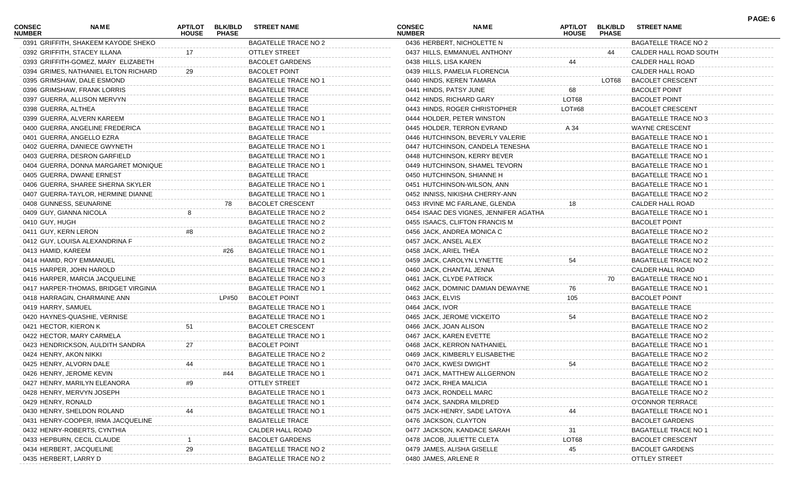| <b>CONSEC</b><br><b>NUMBER</b> | NAME                                 | ΑΡΤ/LOT<br><b>HOUSE</b> | <b>BLK/BLD</b><br><b>PHASE</b> | <b>STREET NAME</b>          | <b>CONSEC</b><br><b>NUMBER</b> | <b>NAME</b>                            | APT/LOT<br><b>HOUSE</b> | <b>BLK/BLD</b><br><b>PHASE</b> | <b>STREET NAME</b>          | PAGE: 6 |
|--------------------------------|--------------------------------------|-------------------------|--------------------------------|-----------------------------|--------------------------------|----------------------------------------|-------------------------|--------------------------------|-----------------------------|---------|
|                                | 0391 GRIFFITH, SHAKEEM KAYODE SHEKO  |                         |                                | <b>BAGATELLE TRACE NO 2</b> |                                | 0436 HERBERT, NICHOLETTE N             |                         |                                | <b>BAGATELLE TRACE NO 2</b> |         |
|                                | 0392 GRIFFITH, STACEY ILLANA         | 17                      |                                | <b>OTTLEY STREET</b>        |                                | 0437 HILLS, EMMANUEL ANTHONY           |                         | 44                             | CALDER HALL ROAD SOUTH      |         |
|                                | 0393 GRIFFITH-GOMEZ, MARY ELIZABETH  |                         |                                | <b>BACOLET GARDENS</b>      | 0438 HILLS, LISA KAREN         |                                        | 44                      |                                | CALDER HALL ROAD            |         |
|                                | 0394 GRIMES, NATHANIEL ELTON RICHARD | 29                      |                                | <b>BACOLET POINT</b>        |                                | 0439 HILLS, PAMELIA FLORENCIA          |                         |                                | CALDER HALL ROAD            |         |
|                                | 0395 GRIMSHAW, DALE ESMOND           |                         |                                | <b>BAGATELLE TRACE NO 1</b> | 0440 HINDS, KEREN TAMARA       |                                        |                         | LOT68                          | <b>BACOLET CRESCENT</b>     |         |
|                                | 0396 GRIMSHAW, FRANK LORRIS          |                         |                                | <b>BAGATELLE TRACE</b>      | 0441 HINDS, PATSY JUNE         |                                        | 68                      |                                | <b>BACOLET POINT</b>        |         |
|                                | 0397 GUERRA, ALLISON MERVYN          |                         |                                | <b>BAGATELLE TRACE</b>      | 0442 HINDS, RICHARD GARY       |                                        | LOT68                   |                                | <b>BACOLET POINT</b>        |         |
| 0398 GUERRA, ALTHEA            |                                      |                         |                                | <b>BAGATELLE TRACE</b>      |                                | 0443 HINDS, ROGER CHRISTOPHER          | LOT#68                  |                                | <b>BACOLET CRESCENT</b>     |         |
|                                | 0399 GUERRA, ALVERN KAREEM           |                         |                                | <b>BAGATELLE TRACE NO 1</b> |                                | 0444 HOLDER, PETER WINSTON             |                         |                                | BAGATELLE TRACE NO 3        |         |
|                                | 0400 GUERRA, ANGELINE FREDERICA      |                         |                                | <b>BAGATELLE TRACE NO 1</b> |                                | 0445 HOLDER, TERRON EVRAND             | A 34                    |                                | <b>WAYNE CRESCENT</b>       |         |
|                                | 0401 GUERRA, ANGELLO EZRA            |                         |                                | <b>BAGATELLE TRACE</b>      |                                | 0446 HUTCHINSON, BEVERLY VALERIE       |                         |                                | <b>BAGATELLE TRACE NO 1</b> |         |
|                                | 0402 GUERRA, DANIECE GWYNETH         |                         |                                | <b>BAGATELLE TRACE NO 1</b> |                                | 0447 HUTCHINSON, CANDELA TENESHA       |                         |                                | <b>BAGATELLE TRACE NO 1</b> |         |
|                                | 0403 GUERRA, DESRON GARFIELD         |                         |                                | BAGATELLE TRACE NO 1        |                                | 0448 HUTCHINSON, KERRY BEVER           |                         |                                | <b>BAGATELLE TRACE NO 1</b> |         |
|                                | 0404 GUERRA, DONNA MARGARET MONIQUE  |                         |                                | <b>BAGATELLE TRACE NO 1</b> |                                | 0449 HUTCHINSON, SHAMEL TEVORN         |                         |                                | <b>BAGATELLE TRACE NO 1</b> |         |
|                                | 0405 GUERRA, DWANE ERNEST            |                         |                                | <b>BAGATELLE TRACE</b>      |                                | 0450 HUTCHINSON, SHIANNE H             |                         |                                | <b>BAGATELLE TRACE NO 1</b> |         |
|                                | 0406 GUERRA, SHAREE SHERNA SKYLER    |                         |                                | <b>BAGATELLE TRACE NO 1</b> |                                | 0451 HUTCHINSON-WILSON, ANN            |                         |                                | <b>BAGATELLE TRACE NO 1</b> |         |
|                                | 0407 GUERRA-TAYLOR, HERMINE DIANNE   |                         |                                | BAGATELLE TRACE NO 1        |                                | 0452 INNISS, NIKISHA CHERRY-ANN        |                         |                                | BAGATELLE TRACE NO 2        |         |
|                                | 0408 GUNNESS, SEUNARINE              |                         | 78                             | <b>BACOLET CRESCENT</b>     |                                | 0453 IRVINE MC FARLANE, GLENDA         | 18                      |                                | CALDER HALL ROAD            |         |
|                                | 0409 GUY, GIANNA NICOLA              |                         |                                | <b>BAGATELLE TRACE NO 2</b> |                                | 0454 ISAAC DES VIGNES, JENNIFER AGATHA |                         |                                | <b>BAGATELLE TRACE NO 1</b> |         |
| 0410 GUY, HUGH                 |                                      |                         |                                | <b>BAGATELLE TRACE NO 2</b> |                                | 0455 ISAACS, CLIFTON FRANCIS M         |                         |                                | <b>BACOLET POINT</b>        |         |
| 0411 GUY, KERN LERON           |                                      | #8                      |                                | <b>BAGATELLE TRACE NO 2</b> |                                | 0456 JACK, ANDREA MONICA C             |                         |                                | BAGATELLE TRACE NO 2        |         |
|                                | 0412 GUY, LOUISA ALEXANDRINA F       |                         |                                | <b>BAGATELLE TRACE NO 2</b> | 0457 JACK, ANSEL ALEX          |                                        |                         |                                | <b>BAGATELLE TRACE NO 2</b> |         |
| 0413 HAMID, KAREEM             |                                      |                         | #26                            | <b>BAGATELLE TRACE NO 1</b> | 0458 JACK, ARIEL THEA          |                                        |                         |                                | <b>BAGATELLE TRACE NO 2</b> |         |
|                                | 0414 HAMID, ROY EMMANUEL             |                         |                                | <b>BAGATELLE TRACE NO 1</b> |                                | 0459 JACK, CAROLYN LYNETTE             | 54                      |                                | <b>BAGATELLE TRACE NO 2</b> |         |
|                                | 0415 HARPER, JOHN HAROLD             |                         |                                | <b>BAGATELLE TRACE NO 2</b> | 0460 JACK, CHANTAL JENNA       |                                        |                         |                                | CALDER HALL ROAD            |         |
|                                | 0416 HARPER, MARCIA JACQUELINE       |                         |                                | BAGATELLE TRACE NO 3        | 0461 JACK, CLYDE PATRICK       |                                        |                         | 70                             | <b>BAGATELLE TRACE NO 1</b> |         |
|                                |                                      |                         |                                | <b>BAGATELLE TRACE NO 1</b> |                                |                                        |                         |                                | <b>BAGATELLE TRACE NO 1</b> |         |
|                                | 0417 HARPER-THOMAS, BRIDGET VIRGINIA |                         |                                |                             |                                | 0462 JACK, DOMINIC DAMIAN DEWAYNE      | 76                      |                                |                             |         |
|                                | 0418 HARRAGIN, CHARMAINE ANN         |                         | LP#50                          | <b>BACOLET POINT</b>        | 0463 JACK, ELVIS               |                                        | 105                     |                                | <b>BACOLET POINT</b>        |         |
| 0419 HARRY, SAMUEL             |                                      |                         |                                | <b>BAGATELLE TRACE NO 1</b> | 0464 JACK, IVOR                |                                        |                         |                                | <b>BAGATELLE TRACE</b>      |         |
|                                | 0420 HAYNES-QUASHIE, VERNISE         |                         |                                | <b>BAGATELLE TRACE NO 1</b> |                                | 0465 JACK, JEROME VICKEITO             | 54                      |                                | <b>BAGATELLE TRACE NO 2</b> |         |
| 0421 HECTOR, KIERON K          |                                      | 51                      |                                | <b>BACOLET CRESCENT</b>     | 0466 JACK, JOAN ALISON         |                                        |                         |                                | <b>BAGATELLE TRACE NO 2</b> |         |
|                                | 0422 HECTOR, MARY CARMELA            |                         |                                | <b>BAGATELLE TRACE NO 1</b> | 0467 JACK, KAREN EVETTE        |                                        |                         |                                | <b>BAGATELLE TRACE NO 2</b> |         |
|                                | 0423 HENDRICKSON, AULDITH SANDRA     | 27                      |                                | <b>BACOLET POINT</b>        |                                | 0468 JACK, KERRON NATHANIEL            |                         |                                | <b>BAGATELLE TRACE NO 1</b> |         |
|                                | 0424 HENRY, AKON NIKKI               |                         |                                | <b>BAGATELLE TRACE NO 2</b> |                                | 0469 JACK, KIMBERLY ELISABETHE         |                         |                                | <b>BAGATELLE TRACE NO 2</b> |         |
|                                | 0425 HENRY, ALVORN DALE              | 44                      |                                | <b>BAGATELLE TRACE NO 1</b> | 0470 JACK, KWESI DWIGHT        |                                        | 54                      |                                | <b>BAGATELLE TRACE NO 2</b> |         |
|                                | 0426 HENRY, JEROME KEVIN             |                         | #44                            | <b>BAGATELLE TRACE NO 1</b> |                                | 0471 JACK, MATTHEW ALLGERNON           |                         |                                | <b>BAGATELLE TRACE NO 2</b> |         |
|                                | 0427 HENRY, MARILYN ELEANORA         |                         |                                | <b>OTTLEY STREET</b>        | 0472 JACK, RHEA MALICIA        |                                        |                         |                                | <b>BAGATELLE TRACE NO 1</b> |         |
|                                | 0428 HENRY, MERVYN JOSEPH            |                         |                                | <b>BAGATELLE TRACE NO 1</b> | 0473 JACK, RONDELL MARC        |                                        |                         |                                | <b>BAGATELLE TRACE NO 2</b> |         |
| 0429 HENRY, RONALD             |                                      |                         |                                | <b>BAGATELLE TRACE NO 1</b> |                                | 0474 JACK, SANDRA MILDRED              |                         |                                | <b>O'CONNOR TERRACE</b>     |         |
|                                | 0430 HENRY, SHELDON ROLAND           |                         |                                | <b>BAGATELLE TRACE NO 1</b> |                                | 0475 JACK-HENRY, SADE LATOYA           |                         |                                | <b>BAGATELLE TRACE NO 1</b> |         |
|                                | 0431 HENRY-COOPER, IRMA JACQUELINE   |                         |                                | <b>BAGATELLE TRACE</b>      | 0476 JACKSON, CLAYTON          |                                        |                         |                                | <b>BACOLET GARDENS</b>      |         |
|                                | 0432 HENRY-ROBERTS, CYNTHIA          |                         |                                | CALDER HALL ROAD            |                                | 0477 JACKSON, KANDACE SARAH            | 31                      |                                | <b>BAGATELLE TRACE NO 1</b> |         |
|                                | 0433 HEPBURN, CECIL CLAUDE           |                         |                                | <b>BACOLET GARDENS</b>      |                                | 0478 JACOB, JULIETTE CLETA             | LOT68                   |                                | <b>BACOLET CRESCENT</b>     |         |
|                                | 0434 HERBERT, JACQUELINE             | 29                      |                                | <b>BAGATELLE TRACE NO 2</b> |                                | 0479 JAMES, ALISHA GISELLE             | 45                      |                                | <b>BACOLET GARDENS</b>      |         |
|                                | 0435 HERBERT, LARRY D                |                         |                                | <b>BAGATELLE TRACE NO 2</b> | 0480 JAMES, ARLENE R           |                                        |                         |                                | OTTLEY STREET               |         |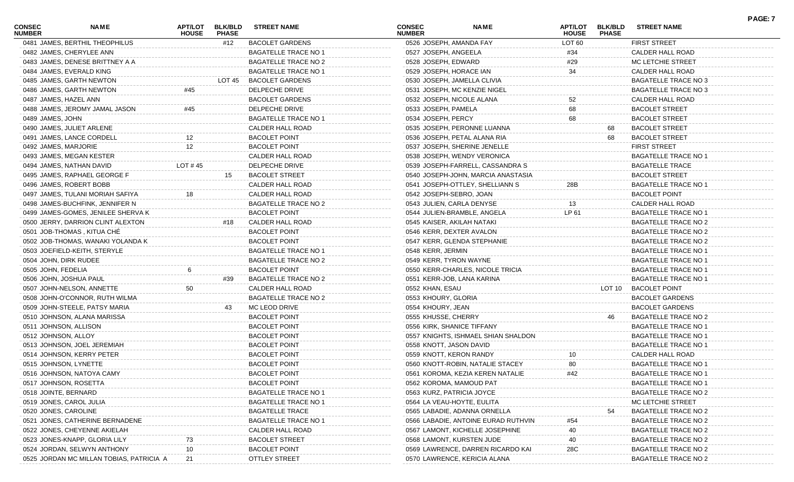| <b>CONSEC</b><br><b>NUMBER</b> | NAME                                     | ΑΡΤ/LOT<br><b>HOUSE</b> | <b>BLK/BLD</b><br><b>PHASE</b> | <b>STREET NAME</b>          | <b>CONSEC</b><br><b>NUMBER</b> | <b>NAME</b>                         | APT/LOT<br><b>HOUSE</b> | <b>BLK/BLD</b><br><b>PHASE</b> | <b>STREET NAME</b>          | <b>PAGE: 7</b> |
|--------------------------------|------------------------------------------|-------------------------|--------------------------------|-----------------------------|--------------------------------|-------------------------------------|-------------------------|--------------------------------|-----------------------------|----------------|
|                                | 0481 JAMES, BERTHIL THEOPHILUS           |                         | #12                            | <b>BACOLET GARDENS</b>      | 0526 JOSEPH, AMANDA FAY        |                                     | LOT <sub>60</sub>       |                                | <b>FIRST STREET</b>         |                |
|                                | 0482 JAMES, CHERYLEE ANN                 |                         |                                | <b>BAGATELLE TRACE NO 1</b> | 0527 JOSEPH, ANGEELA           |                                     | #34                     |                                | CALDER HALL ROAD            |                |
|                                | 0483 JAMES, DENESE BRITTNEY A A          |                         |                                | <b>BAGATELLE TRACE NO 2</b> | 0528 JOSEPH, EDWARD            |                                     | #29                     |                                | MC LETCHIE STREET           |                |
|                                | 0484 JAMES, EVERALD KING                 |                         |                                | <b>BAGATELLE TRACE NO 1</b> | 0529 JOSEPH, HORACE IAN        |                                     | 34                      |                                | CALDER HALL ROAD            |                |
|                                | 0485 JAMES, GARTH NEWTON                 |                         | LOT 45                         | <b>BACOLET GARDENS</b>      | 0530 JOSEPH, JAMELLA CLIVIA    |                                     |                         |                                | BAGATELLE TRACE NO 3        |                |
|                                | 0486 JAMES, GARTH NEWTON                 | #45                     |                                | DELPECHE DRIVE              |                                | 0531 JOSEPH, MC KENZIE NIGEL        |                         |                                | BAGATELLE TRACE NO 3        |                |
|                                | 0487 JAMES, HAZEL ANN                    |                         |                                | <b>BACOLET GARDENS</b>      | 0532 JOSEPH, NICOLE ALANA      |                                     | 52                      |                                | CALDER HALL ROAD            |                |
|                                | 0488 JAMES, JEROMY JAMAL JASON           | #45                     |                                | <b>DELPECHE DRIVE</b>       | 0533 JOSEPH, PAMELA            |                                     | 68                      |                                | <b>BACOLET STREET</b>       |                |
| 0489 JAMES, JOHN               |                                          |                         |                                | <b>BAGATELLE TRACE NO 1</b> | 0534 JOSEPH, PERCY             |                                     | 68                      |                                | <b>BACOLET STREET</b>       |                |
|                                | 0490 JAMES, JULIET ARLENE                |                         |                                | CALDER HALL ROAD            |                                | 0535 JOSEPH, PERONNE LUANNA         |                         | 68                             | <b>BACOLET STREET</b>       |                |
|                                | 0491 JAMES, LANCE CORDELL                | 12                      |                                | <b>BACOLET POINT</b>        |                                | 0536 JOSEPH, PETAL ALANA RIA        |                         | 68                             | <b>BACOLET STREET</b>       |                |
|                                | 0492 JAMES, MARJORIE                     | 12                      |                                | <b>BACOLET POINT</b>        |                                | 0537 JOSEPH, SHERINE JENELLE        |                         |                                | <b>FIRST STREET</b>         |                |
|                                | 0493 JAMES, MEGAN KESTER                 |                         |                                | CALDER HALL ROAD            |                                | 0538 JOSEPH, WENDY VERONICA         |                         |                                | <b>BAGATELLE TRACE NO 1</b> |                |
|                                | 0494 JAMES, NATHAN DAVID                 | LOT #45                 |                                | DELPECHE DRIVE              |                                | 0539 JOSEPH-FARRELL, CASSANDRA S    |                         |                                | <b>BAGATELLE TRACE</b>      |                |
|                                | 0495 JAMES, RAPHAEL GEORGE F             |                         | 15                             | <b>BACOLET STREET</b>       |                                | 0540 JOSEPH-JOHN, MARCIA ANASTASIA  |                         |                                | <b>BACOLET STREET</b>       |                |
|                                | 0496 JAMES, ROBERT BOBB                  |                         |                                | <b>CALDER HALL ROAD</b>     |                                | 0541 JOSEPH-OTTLEY, SHELLIANN S     | 28B                     |                                | <b>BAGATELLE TRACE NO 1</b> |                |
|                                | 0497 JAMES, TULANI MORIAH SAFIYA         | 18                      |                                | CALDER HALL ROAD            | 0542 JOSEPH-SEBRO, JOAN        |                                     |                         |                                | <b>BACOLET POINT</b>        |                |
|                                | 0498 JAMES-BUCHFINK, JENNIFER N          |                         |                                | <b>BAGATELLE TRACE NO 2</b> | 0543 JULIEN, CARLA DENYSE      |                                     | 13                      |                                | CALDER HALL ROAD            |                |
|                                | 0499 JAMES-GOMES, JENILEE SHERVA K       |                         |                                | <b>BACOLET POINT</b>        |                                | 0544 JULIEN-BRAMBLE, ANGELA         | LP 61                   |                                | <b>BAGATELLE TRACE NO 1</b> |                |
|                                | 0500 JERRY, DARRION CLINT ALEXTON        |                         | #18                            | CALDER HALL ROAD            | 0545 KAISER, AKILAH NATAKI     |                                     |                         |                                | <b>BAGATELLE TRACE NO 2</b> |                |
|                                | 0501 JOB-THOMAS, KITUA CHE               |                         |                                | <b>BACOLET POINT</b>        | 0546 KERR, DEXTER AVALON       |                                     |                         |                                | <b>BAGATELLE TRACE NO 2</b> |                |
|                                | 0502 JOB-THOMAS, WANAKI YOLANDA K        |                         |                                | <b>BACOLET POINT</b>        |                                | 0547 KERR, GLENDA STEPHANIE         |                         |                                | <b>BAGATELLE TRACE NO 2</b> |                |
|                                | 0503 JOEFIELD-KEITH, STERYLE             |                         |                                | <b>BAGATELLE TRACE NO 1</b> | 0548 KERR, JERMIN              |                                     |                         |                                | <b>BAGATELLE TRACE NO 1</b> |                |
|                                | 0504 JOHN, DIRK RUDEE                    |                         |                                | <b>BAGATELLE TRACE NO 2</b> | 0549 KERR, TYRON WAYNE         |                                     |                         |                                | <b>BAGATELLE TRACE NO 1</b> |                |
| 0505 JOHN, FEDELIA             |                                          | 6                       |                                | <b>BACOLET POINT</b>        |                                | 0550 KERR-CHARLES, NICOLE TRICIA    |                         |                                | <b>BAGATELLE TRACE NO 1</b> |                |
|                                | 0506 JOHN, JOSHUA PAUL                   |                         | #39                            | <b>BAGATELLE TRACE NO 2</b> | 0551 KERR-JOB, LANA KARINA     |                                     |                         |                                | <b>BAGATELLE TRACE NO 1</b> |                |
|                                |                                          |                         |                                | CALDER HALL ROAD            |                                |                                     |                         | LOT 10                         | <b>BACOLET POINT</b>        |                |
|                                | 0507 JOHN-NELSON, ANNETTE                | 50                      |                                |                             | 0552 KHAN, ESAU                |                                     |                         |                                |                             |                |
|                                | 0508 JOHN-O'CONNOR, RUTH WILMA           |                         |                                | <b>BAGATELLE TRACE NO 2</b> | 0553 KHOURY, GLORIA            |                                     |                         |                                | <b>BACOLET GARDENS</b>      |                |
|                                | 0509 JOHN-STEELE, PATSY MARIA            |                         | 43                             | MC LEOD DRIVE               | 0554 KHOURY, JEAN              |                                     |                         |                                | <b>BACOLET GARDENS</b>      |                |
|                                | 0510 JOHNSON, ALANA MARISSA              |                         |                                | <b>BACOLET POINT</b>        | 0555 KHUSSE, CHERRY            |                                     |                         | 46                             | BAGATELLE TRACE NO 2        |                |
|                                | 0511 JOHNSON, ALLISON                    |                         |                                | <b>BACOLET POINT</b>        | 0556 KIRK, SHANICE TIFFANY     |                                     |                         |                                | <b>BAGATELLE TRACE NO 1</b> |                |
| 0512 JOHNSON, ALLOY            |                                          |                         |                                | <b>BACOLET POINT</b>        |                                | 0557 KNIGHTS, ISHMAEL SHIAN SHALDON |                         |                                | <b>BAGATELLE TRACE NO 1</b> |                |
|                                | 0513 JOHNSON, JOEL JEREMIAH              |                         |                                | <b>BACOLET POINT</b>        | 0558 KNOTT, JASON DAVID        |                                     |                         |                                | BAGATELLE TRACE NO 1        |                |
|                                | 0514 JOHNSON, KERRY PETER                |                         |                                | <b>BACOLET POINT</b>        | 0559 KNOTT, KERON RANDY        |                                     | 10                      |                                | CALDER HALL ROAD            |                |
|                                | 0515 JOHNSON, LYNETTE                    |                         |                                | <b>BACOLET POINT</b>        |                                | 0560 KNOTT-ROBIN, NATALIE STACEY    | 80                      |                                | <b>BAGATELLE TRACE NO 1</b> |                |
|                                | 0516 JOHNSON, NATOYA CAMY                |                         |                                | <b>BACOLET POINT</b>        |                                | 0561 KOROMA, KEZIA KEREN NATALIE    | #42                     |                                | <b>BAGATELLE TRACE NO 1</b> |                |
|                                | 0517 JOHNSON, ROSETTA                    |                         |                                | <b>BACOLET POINT</b>        | 0562 KOROMA, MAMOUD PAT        |                                     |                         |                                | <b>BAGATELLE TRACE NO 1</b> |                |
| 0518 JOINTE, BERNARD           |                                          |                         |                                | <b>BAGATELLE TRACE NO 1</b> | 0563 KURZ, PATRICIA JOYCE      |                                     |                         |                                | BAGATELLE TRACE NO 2        |                |
|                                | 0519 JONES, CAROL JULIA                  |                         |                                | <b>BAGATELLE TRACE NO 1</b> | 0564 LA VEAU-HOYTE, EULITA     |                                     |                         |                                | MC LETCHIE STREET           |                |
| 0520 JONES, CAROLINE           |                                          |                         |                                | <b>BAGATELLE TRACE</b>      |                                | 0565 LABADIE, ADANNA ORNELLA        |                         |                                | <b>BAGATELLE TRACE NO 2</b> |                |
|                                | 0521 JONES, CATHERINE BERNADENE          |                         |                                | <b>BAGATELLE TRACE NO 1</b> |                                | 0566 LABADIE, ANTOINE EURAD RUTHVIN | #54                     |                                | <b>BAGATELLE TRACE NO 2</b> |                |
|                                | 0522 JONES, CHEYENNE AKIELAH             |                         |                                | CALDER HALL ROAD            |                                | 0567 LAMONT, KICHELLE JOSEPHINE     | 40                      |                                | <b>BAGATELLE TRACE NO 2</b> |                |
|                                | 0523 JONES-KNAPP, GLORIA LILY            |                         |                                | <b>BACOLET STREET</b>       | 0568 LAMONT, KURSTEN JUDE      |                                     | 40                      |                                | <b>BAGATELLE TRACE NO 2</b> |                |
|                                | 0524 JORDAN, SELWYN ANTHONY              | 10                      |                                | <b>BACOLET POINT</b>        |                                | 0569 LAWRENCE, DARREN RICARDO KAI   | 28C                     |                                | <b>BAGATELLE TRACE NO 2</b> |                |
|                                | 0525 JORDAN MC MILLAN TOBIAS, PATRICIA A | 21                      |                                | OTTLEY STREET               |                                | 0570 LAWRENCE, KERICIA ALANA        |                         |                                | <b>BAGATELLE TRACE NO 2</b> |                |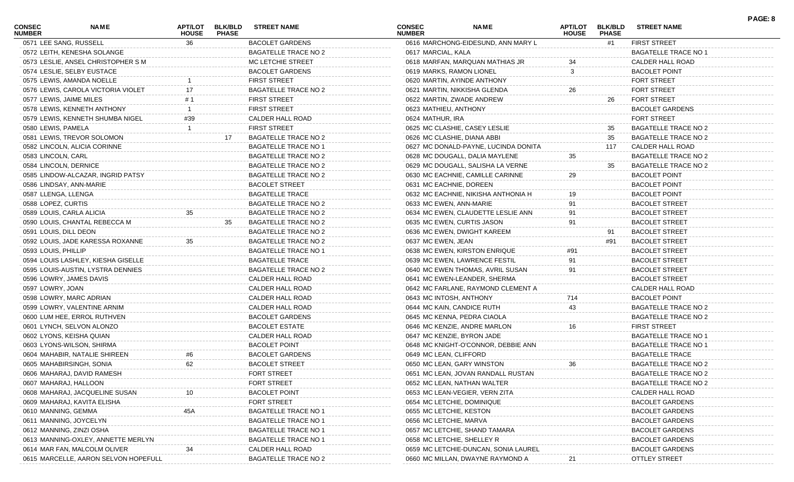| <b>CONSEC</b><br><b>NUMBER</b> | NAME                                 | APT/LOT<br><b>HOUSE</b> | <b>BLK/BLD</b><br><b>PHASE</b> | <b>STREET NAME</b>          | <b>CONSEC</b><br><b>NUMBER</b> | <b>NAME</b>                          | <b>APT/LOT</b><br><b>HOUSE</b> | <b>BLK/BLD</b><br><b>PHASE</b> | <b>STREET NAME</b>          | PAGE: 8 |
|--------------------------------|--------------------------------------|-------------------------|--------------------------------|-----------------------------|--------------------------------|--------------------------------------|--------------------------------|--------------------------------|-----------------------------|---------|
| 0571 LEE SANG, RUSSELL         |                                      | 36                      |                                | <b>BACOLET GARDENS</b>      |                                | 0616 MARCHONG-EIDESUND, ANN MARY L   |                                | #1                             | <b>FIRST STREET</b>         |         |
|                                | 0572 LEITH, KENESHA SOLANGE          |                         |                                | <b>BAGATELLE TRACE NO 2</b> | 0617 MARCIAL, KALA             |                                      |                                |                                | <b>BAGATELLE TRACE NO 1</b> |         |
|                                | 0573 LESLIE, ANSEL CHRISTOPHER S M   |                         |                                | MC LETCHIE STREET           |                                | 0618 MARFAN, MARQUAN MATHIAS JR      |                                |                                | CALDER HALL ROAD            |         |
|                                | 0574 LESLIE, SELBY EUSTACE           |                         |                                | <b>BACOLET GARDENS</b>      |                                | 0619 MARKS, RAMON LIONEL             | 3                              |                                | <b>BACOLET POINT</b>        |         |
|                                | 0575 LEWIS, AMANDA NOELLE            |                         |                                | <b>FIRST STREET</b>         |                                | 0620 MARTIN, AYINDE ANTHONY          |                                |                                | <b>FORT STREET</b>          |         |
|                                | 0576 LEWIS, CAROLA VICTORIA VIOLET   |                         |                                | <b>BAGATELLE TRACE NO 2</b> |                                | 0621 MARTIN, NIKKISHA GLENDA         | 26                             |                                | <b>FORT STREET</b>          |         |
| 0577 LEWIS, JAIME MILES        |                                      |                         |                                | <b>FIRST STREET</b>         |                                | 0622 MARTIN, ZWADE ANDREW            |                                | 26                             | <b>FORT STREET</b>          |         |
|                                | 0578 LEWIS, KENNETH ANTHONY          |                         |                                | <b>FIRST STREET</b>         | 0623 MATHIEU, ANTHONY          |                                      |                                |                                | <b>BACOLET GARDENS</b>      |         |
|                                | 0579 LEWIS, KENNETH SHUMBA NIGEL     | #39                     |                                | CALDER HALL ROAD            | 0624 MATHUR, IRA               |                                      |                                |                                | <b>FORT STREET</b>          |         |
| 0580 LEWIS, PAMELA             |                                      |                         |                                | <b>FIRST STREET</b>         |                                | 0625 MC CLASHIE, CASEY LESLIE        |                                | 35                             | <b>BAGATELLE TRACE NO 2</b> |         |
|                                | 0581 LEWIS, TREVOR SOLOMON           |                         | 17                             | <b>BAGATELLE TRACE NO 2</b> |                                | 0626 MC CLASHIE, DIANA ABBI          |                                | 35                             | <b>BAGATELLE TRACE NO 2</b> |         |
|                                | 0582 LINCOLN, ALICIA CORINNE         |                         |                                | <b>BAGATELLE TRACE NO 1</b> |                                | 0627 MC DONALD-PAYNE, LUCINDA DONITA |                                | 117                            | CALDER HALL ROAD            |         |
| 0583 LINCOLN, CARL             |                                      |                         |                                | <b>BAGATELLE TRACE NO 2</b> |                                | 0628 MC DOUGALL, DALIA MAYLENE       | 35                             |                                | BAGATELLE TRACE NO 2        |         |
| 0584 LINCOLN, DERNICE          |                                      |                         |                                | <b>BAGATELLE TRACE NO 2</b> |                                | 0629 MC DOUGALL, SALISHA LA VERNE    |                                | 35                             | BAGATELLE TRACE NO 2        |         |
|                                | 0585 LINDOW-ALCAZAR, INGRID PATSY    |                         |                                | <b>BAGATELLE TRACE NO 2</b> |                                | 0630 MC EACHNIE, CAMILLE CARINNE     | 29                             |                                | <b>BACOLET POINT</b>        |         |
| 0586 LINDSAY, ANN-MARIE        |                                      |                         |                                | <b>BACOLET STREET</b>       |                                | 0631 MC EACHNIE, DOREEN              |                                |                                | <b>BACOLET POINT</b>        |         |
| 0587 LLENGA, LLENGA            |                                      |                         |                                | <b>BAGATELLE TRACE</b>      |                                | 0632 MC EACHNIE, NIKISHA ANTHONIA H  |                                |                                | <b>BACOLET POINT</b>        |         |
| 0588 LOPEZ, CURTIS             |                                      |                         |                                | <b>BAGATELLE TRACE NO 2</b> |                                | 0633 MC EWEN, ANN-MARIE              | 91                             |                                | <b>BACOLET STREET</b>       |         |
| 0589 LOUIS, CARLA ALICIA       |                                      | 35                      |                                | BAGATELLE TRACE NO 2        |                                | 0634 MC EWEN, CLAUDETTE LESLIE ANN   | 91                             |                                | <b>BACOLET STREET</b>       |         |
|                                | 0590 LOUIS, CHANTAL REBECCA M        |                         | 35                             | <b>BAGATELLE TRACE NO 2</b> |                                | 0635 MC EWEN, CURTIS JASON           | 91                             |                                | <b>BACOLET STREET</b>       |         |
| 0591 LOUIS, DILL DEON          |                                      |                         |                                | <b>BAGATELLE TRACE NO 2</b> |                                | 0636 MC EWEN, DWIGHT KAREEM          |                                | 91                             | <b>BACOLET STREET</b>       |         |
|                                | 0592 LOUIS, JADE KARESSA ROXANNE     | 35                      |                                | BAGATELLE TRACE NO 2        | 0637 MC EWEN, JEAN             |                                      |                                | #91                            | <b>BACOLET STREET</b>       |         |
| 0593 LOUIS, PHILLIP            |                                      |                         |                                | <b>BAGATELLE TRACE NO 1</b> |                                | 0638 MC EWEN, KIRSTON ENRIQUE        | #91                            |                                | <b>BACOLET STREET</b>       |         |
|                                | 0594 LOUIS LASHLEY, KIESHA GISELLE   |                         |                                | <b>BAGATELLE TRACE</b>      |                                | 0639 MC EWEN, LAWRENCE FESTIL        | 91                             |                                | <b>BACOLET STREET</b>       |         |
|                                | 0595 LOUIS-AUSTIN, LYSTRA DENNIES    |                         |                                | <b>BAGATELLE TRACE NO 2</b> |                                | 0640 MC EWEN THOMAS, AVRIL SUSAN     | 91                             |                                | <b>BACOLET STREET</b>       |         |
|                                | 0596 LOWRY, JAMES DAVIS              |                         |                                | CALDER HALL ROAD            |                                | 0641 MC EWEN-LEANDER, SHERMA         |                                |                                | <b>BACOLET STREET</b>       |         |
| 0597 LOWRY, JOAN               |                                      |                         |                                | CALDER HALL ROAD            |                                | 0642 MC FARLANE, RAYMOND CLEMENT A   |                                |                                | CALDER HALL ROAD            |         |
|                                | 0598 LOWRY, MARC ADRIAN              |                         |                                | CALDER HALL ROAD            |                                | 0643 MC INTOSH, ANTHONY              | 714                            |                                | <b>BACOLET POINT</b>        |         |
|                                | 0599 LOWRY, VALENTINE ARNIM          |                         |                                | CALDER HALL ROAD            |                                | 0644 MC KAIN, CANDICE RUTH           | 43                             |                                | BAGATELLE TRACE NO 2        |         |
|                                | 0600 LUM HEE, ERROL RUTHVEN          |                         |                                | <b>BACOLET GARDENS</b>      |                                | 0645 MC KENNA, PEDRA CIAOLA          |                                |                                | <b>BAGATELLE TRACE NO 2</b> |         |
|                                | 0601 LYNCH, SELVON ALONZO            |                         |                                | <b>BACOLET ESTATE</b>       |                                | 0646 MC KENZIE, ANDRE MARLON         |                                |                                | <b>FIRST STREET</b>         |         |
|                                | 0602 LYONS, KEISHA QUIAN             |                         |                                | CALDER HALL ROAD            |                                | 0647 MC KENZIE, BYRON JADE           |                                |                                | <b>BAGATELLE TRACE NO 1</b> |         |
|                                | 0603 LYONS-WILSON, SHIRMA            |                         |                                | <b>BACOLET POINT</b>        |                                | 0648 MC KNIGHT-O'CONNOR, DEBBIE ANN  |                                |                                | <b>BAGATELLE TRACE NO 1</b> |         |
|                                | 0604 MAHABIR, NATALIE SHIREEN        | #6                      |                                | <b>BACOLET GARDENS</b>      | 0649 MC LEAN, CLIFFORD         |                                      |                                |                                | <b>BAGATELLE TRACE</b>      |         |
|                                | 0605 MAHABIRSINGH, SONIA             | 62                      |                                | <b>BACOLET STREET</b>       |                                | 0650 MC LEAN, GARY WINSTON           | 36                             |                                | <b>BAGATELLE TRACE NO 2</b> |         |
|                                | 0606 MAHARAJ, DAVID RAMESH           |                         |                                | <b>FORT STREET</b>          |                                | 0651 MC LEAN, JOVAN RANDALL RUSTAN   |                                |                                | <b>BAGATELLE TRACE NO 2</b> |         |
| 0607 MAHARAJ, HALLOON          |                                      |                         |                                | FORT STREET                 |                                | 0652 MC LEAN, NATHAN WALTER          |                                |                                | <b>BAGATELLE TRACE NO 2</b> |         |
|                                | 0608 MAHARAJ, JACQUELINE SUSAN       |                         |                                | <b>BACOLET POINT</b>        |                                | 0653 MC LEAN-VEGIER, VERN ZITA       |                                |                                | CALDER HALL ROAD            |         |
|                                | 0609 MAHARAJ, KAVITA ELISHA          |                         |                                | FORT STREET                 |                                | 0654 MC LETCHIE, DOMINIQUE           |                                |                                | <b>BACOLET GARDENS</b>      |         |
| 0610 MANNING, GEMMA            |                                      | 45A                     |                                | <b>BAGATELLE TRACE NO 1</b> |                                | 0655 MC LETCHIE, KESTON              |                                |                                | <b>BACOLET GARDENS</b>      |         |
|                                | 0611 MANNING, JOYCELYN               |                         |                                | <b>BAGATELLE TRACE NO 1</b> | 0656 MC LETCHIE, MARVA         |                                      |                                |                                | <b>BACOLET GARDENS</b>      |         |
|                                | 0612 MANNING, ZINZI OSHA             |                         |                                | <b>BAGATELLE TRACE NO 1</b> |                                | 0657 MC LETCHIE, SHAND TAMARA        |                                |                                | <b>BACOLET GARDENS</b>      |         |
|                                | 0613 MANNING-OXLEY, ANNETTE MERLYN   |                         |                                | <b>BAGATELLE TRACE NO 1</b> |                                | 0658 MC LETCHIE, SHELLEY R           |                                |                                | <b>BACOLET GARDENS</b>      |         |
|                                | 0614 MAR FAN, MALCOLM OLIVER         |                         |                                | CALDER HALL ROAD            |                                | 0659 MC LETCHIE-DUNCAN, SONIA LAUREL |                                |                                | <b>BACOLET GARDENS</b>      |         |
|                                | 0615 MARCELLE, AARON SELVON HOPEFULL |                         |                                | <b>BAGATELLE TRACE NO 2</b> |                                | 0660 MC MILLAN, DWAYNE RAYMOND A     | 21                             |                                | <b>OTTLEY STREET</b>        |         |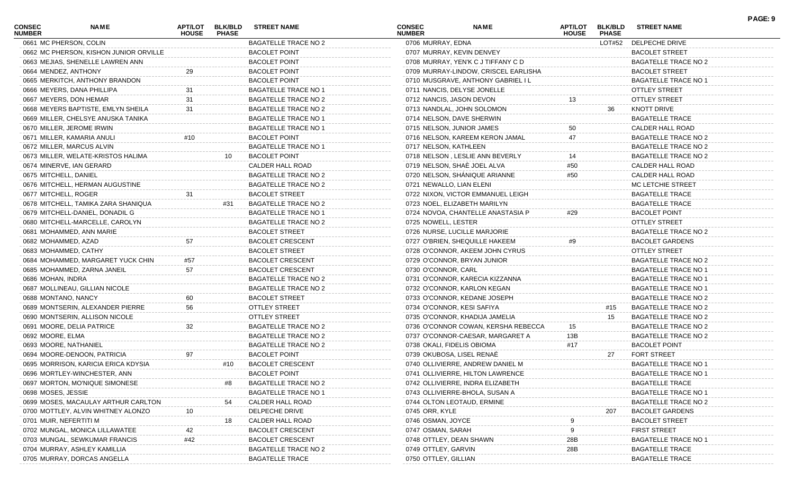| CONSEC<br><b>NUMBER</b> | NAME                                                        | APT/LOT<br><b>HOUSE</b> | <b>BLK/BLD</b><br><b>PHASE</b> | <b>STREET NAME</b>          | CONSEC<br><b>NUMBER</b>    | <b>NAME</b>                                                             | <b>APT/LOT</b><br><b>HOUSE</b> | <b>BLK/BLD</b><br><b>PHASE</b> | <b>STREET NAME</b>                                  | PAGE: 9 |
|-------------------------|-------------------------------------------------------------|-------------------------|--------------------------------|-----------------------------|----------------------------|-------------------------------------------------------------------------|--------------------------------|--------------------------------|-----------------------------------------------------|---------|
|                         | 0661 MC PHERSON, COLIN                                      |                         |                                | <b>BAGATELLE TRACE NO 2</b> | 0706 MURRAY, EDNA          |                                                                         |                                | LOT#52                         | DELPECHE DRIVE                                      |         |
|                         | 0662 MC PHERSON, KISHON JUNIOR ORVILLE                      |                         |                                | <b>BACOLET POINT</b>        |                            | 0707 MURRAY, KEVIN DENVEY                                               |                                |                                | <b>BACOLET STREET</b>                               |         |
|                         | 0663 MEJIAS, SHENELLE LAWREN ANN                            |                         |                                | <b>BACOLET POINT</b>        |                            | 0708 MURRAY, YEN'K C J TIFFANY C D                                      |                                |                                | BAGATELLE TRACE NO 2                                |         |
| 0664 MENDEZ, ANTHONY    |                                                             | 29                      |                                | <b>BACOLET POINT</b>        |                            | 0709 MURRAY-LINDOW, CRISCEL EARLISHA                                    |                                |                                | <b>BACOLET STREET</b>                               |         |
|                         | 0665 MERKITCH, ANTHONY BRANDON                              |                         |                                | <b>BACOLET POINT</b>        |                            | 0710 MUSGRAVE, ANTHONY GABRIEL I L                                      |                                |                                | BAGATELLE TRACE NO 1                                |         |
|                         | 0666 MEYERS, DANA PHILLIPA                                  |                         |                                | <b>BAGATELLE TRACE NO 1</b> |                            | 0711 NANCIS, DELYSE JONELLE                                             |                                |                                | <b>OTTLEY STREET</b>                                |         |
|                         | 0667 MEYERS, DON HEMAR                                      | 31                      |                                | <b>BAGATELLE TRACE NO 2</b> | 0712 NANCIS, JASON DEVON   |                                                                         | 13                             |                                | <b>OTTLEY STREET</b>                                |         |
|                         | 0668 MEYERS BAPTISTE, EMLYN SHEILA                          | 31                      |                                | <b>BAGATELLE TRACE NO 2</b> |                            | 0713 NANDLAL, JOHN SOLOMON                                              |                                | 36                             | KNOTT DRIVE                                         |         |
|                         | 0669 MILLER, CHELSYE ANUSKA TANIKA                          |                         |                                | <b>BAGATELLE TRACE NO 1</b> |                            | 0714 NELSON, DAVE SHERWIN                                               |                                |                                | <b>BAGATELLE TRACE</b>                              |         |
|                         | 0670 MILLER, JEROME IRWIN                                   |                         |                                | <b>BAGATELLE TRACE NO 1</b> |                            | 0715 NELSON, JUNIOR JAMES                                               | 50                             |                                | CALDER HALL ROAD                                    |         |
|                         | 0671 MILLER, KAMARIA ANULI                                  | #10                     |                                | <b>BACOLET POINT</b>        |                            | 0716 NELSON, KAREEM KERON JAMAL                                         | 47                             |                                | BAGATELLE TRACE NO 2                                |         |
|                         | 0672 MILLER, MARCUS ALVIN                                   |                         |                                | <b>BAGATELLE TRACE NO 1</b> | 0717 NELSON, KATHLEEN      |                                                                         |                                |                                | BAGATELLE TRACE NO 2                                |         |
|                         | 0673 MILLER, WELATE-KRISTOS HALIMA                          |                         | 10                             | <b>BACOLET POINT</b>        |                            | 0718 NELSON, LESLIE ANN BEVERLY                                         |                                |                                | BAGATELLE TRACE NO 2                                |         |
|                         | 0674 MINERVE, IAN GERARD                                    |                         |                                | CALDER HALL ROAD            |                            | 0719 NELSON, SHAE JOEL ALVA                                             | #50                            |                                | CALDER HALL ROAD                                    |         |
| 0675 MITCHELL, DANIEL   |                                                             |                         |                                | <b>BAGATELLE TRACE NO 2</b> |                            | 0720 NELSON, SHÁNIQUE ARIANNE                                           | #50                            |                                | CALDER HALL ROAD                                    |         |
|                         | 0676 MITCHELL, HERMAN AUGUSTINE                             |                         |                                | <b>BAGATELLE TRACE NO 2</b> | 0721 NEWALLO, LIAN ELENI   |                                                                         |                                |                                | MC LETCHIE STREET                                   |         |
| 0677 MITCHELL, ROGER    |                                                             | 31                      |                                | <b>BACOLET STREET</b>       |                            | 0722 NIXON, VICTOR EMMANUEL LEIGH                                       |                                |                                | <b>BAGATELLE TRACE</b>                              |         |
|                         | 0678 MITCHELL, TAMIKA ZARA SHANIQUA                         |                         | #31                            | <b>BAGATELLE TRACE NO 2</b> |                            | 0723 NOEL, ELIZABETH MARILYN                                            |                                |                                | <b>BAGATELLE TRACE</b>                              |         |
|                         | 0679 MITCHELL-DANIEL, DONADIL G                             |                         |                                | <b>BAGATELLE TRACE NO 1</b> |                            | 0724 NOVOA, CHANTELLE ANASTASIA P                                       | #29                            |                                | <b>BACOLET POINT</b>                                |         |
|                         | 0680 MITCHELL-MARCELLE, CAROLYN                             |                         |                                | <b>BAGATELLE TRACE NO 2</b> | 0725 NOWELL, LESTER        |                                                                         |                                |                                | OTTLEY STREET                                       |         |
|                         | 0681 MOHAMMED, ANN MARIE                                    |                         |                                | <b>BACOLET STREET</b>       |                            | 0726 NURSE, LUCILLE MARJORIE                                            |                                |                                | <b>BAGATELLE TRACE NO 2</b>                         |         |
| 0682 MOHAMMED, AZAD     |                                                             | 57                      |                                | <b>BACOLET CRESCENT</b>     |                            | 0727 O'BRIEN, SHEQUILLE HAKEEM                                          | #9                             |                                | <b>BACOLET GARDENS</b>                              |         |
|                         | 0683 MOHAMMED, CATHY                                        |                         |                                | <b>BACOLET STREET</b>       |                            | 0728 O'CONNOR, AKEEM JOHN CYRUS                                         |                                |                                | <b>OTTLEY STREET</b>                                |         |
|                         | 0684 MOHAMMED, MARGARET YUCK CHIN                           | #57                     |                                | <b>BACOLET CRESCENT</b>     |                            | 0729 O'CONNOR, BRYAN JUNIOR                                             |                                |                                | BAGATELLE TRACE NO 2                                |         |
|                         | 0685 MOHAMMED, ZARNA JANEIL                                 | 57                      |                                | <b>BACOLET CRESCENT</b>     | 0730 O'CONNOR, CARL        |                                                                         |                                |                                | BAGATELLE TRACE NO 1                                |         |
| 0686 MOHAN, INDRA       |                                                             |                         |                                | <b>BAGATELLE TRACE NO 2</b> |                            | 0731 O'CONNOR, KARECIA KIZZANNA                                         |                                |                                | BAGATELLE TRACE NO 1                                |         |
|                         | 0687 MOLLINEAU, GILLIAN NICOLE                              |                         |                                | <b>BAGATELLE TRACE NO 2</b> |                            | 0732 O'CONNOR, KARLON KEGAN                                             |                                |                                | BAGATELLE TRACE NO 1                                |         |
| 0688 MONTANO, NANCY     |                                                             | 60                      |                                | <b>BACOLET STREET</b>       |                            | 0733 O'CONNOR, KEDANE JOSEPH                                            |                                |                                | BAGATELLE TRACE NO 2                                |         |
|                         | 0689 MONTSERIN, ALEXANDER PIERRE                            | 56                      |                                | <b>OTTLEY STREET</b>        |                            | 0734 O'CONNOR, KESI SAFIYA                                              |                                | #15                            | BAGATELLE TRACE NO 2                                |         |
|                         |                                                             |                         |                                | <b>OTTLEY STREET</b>        |                            |                                                                         |                                |                                |                                                     |         |
|                         | 0690 MONTSERIN, ALLISON NICOLE<br>0691 MOORE, DELIA PATRICE |                         |                                | <b>BAGATELLE TRACE NO 2</b> |                            | 0735 O'CONNOR, KHADIJA JAMELIA                                          |                                | 15                             | BAGATELLE TRACE NO 2                                |         |
| 0692 MOORE, ELMA        |                                                             | 32                      |                                | <b>BAGATELLE TRACE NO 2</b> |                            | 0736 O'CONNOR COWAN, KERSHA REBECCA<br>0737 O'CONNOR-CAESAR, MARGARET A | 15<br>13B                      |                                | BAGATELLE TRACE NO 2<br><b>BAGATELLE TRACE NO 2</b> |         |
|                         |                                                             |                         |                                |                             |                            |                                                                         |                                |                                |                                                     |         |
| 0693 MOORE, NATHANIEL   |                                                             |                         |                                | <b>BAGATELLE TRACE NO 2</b> | 0738 OKALI, FIDELIS OBIOMA |                                                                         | #17                            |                                | <b>BACOLET POINT</b>                                |         |
|                         | 0694 MOORE-DENOON, PATRICIA                                 | 97                      |                                | <b>BACOLET POINT</b>        |                            | 0739 OKUBOSA, LISEL RENAE                                               |                                | 27                             | <b>FORT STREET</b>                                  |         |
|                         | 0695 MORRISON, KARICIA ERICA KDYSIA                         |                         | #10                            | <b>BACOLET CRESCENT</b>     |                            | 0740 OLLIVIERRE, ANDREW DANIEL M                                        |                                |                                | <b>BAGATELLE TRACE NO 1</b>                         |         |
|                         | 0696 MORTLEY-WINCHESTER, ANN                                |                         |                                | <b>BACOLET POINT</b>        |                            | 0741 OLLIVIERRE, HILTON LAWRENCE                                        |                                |                                | <b>BAGATELLE TRACE NO 1</b>                         |         |
|                         | 0697 MORTON, MO'NIQUE SIMONESE                              |                         | #8                             | <b>BAGATELLE TRACE NO 2</b> |                            | 0742 OLLIVIERRE, INDRA ELIZABETH                                        |                                |                                | <b>BAGATELLE TRACE</b>                              |         |
| 0698 MOSES, JESSIE      |                                                             |                         |                                | <b>BAGATELLE TRACE NO 1</b> |                            | 0743 OLLIVIERRE-BHOLA, SUSAN A                                          |                                |                                | <b>BAGATELLE TRACE NO</b>                           |         |
|                         | 0699 MOSES, MACAULAY ARTHUR CARLTON                         |                         | 54                             | CALDER HALL ROAD            |                            | 0744 OLTON LEOTAUD, ERMINE                                              |                                |                                | BAGATELLE TRACE NO 2                                |         |
|                         | 0700 MOTTLEY, ALVIN WHITNEY ALONZO                          | 10                      |                                | DELPECHE DRIVE              | 0745 ORR, KYLE             |                                                                         |                                | 207                            | <b>BACOLET GARDENS</b>                              |         |
| 0701 MUIR, NEFERTITI M  |                                                             |                         | 18                             | CALDER HALL ROAD            | 0746 OSMAN, JOYCE          |                                                                         |                                |                                | <b>BACOLET STREET</b>                               |         |
|                         | 0702 MUNGAL, MONICA LILLAWATEE                              |                         |                                | <b>BACOLET CRESCENT</b>     | 0747 OSMAN, SARAH          |                                                                         |                                |                                | <b>FIRST STREET</b>                                 |         |
|                         | 0703 MUNGAL, SEWKUMAR FRANCIS                               | #42                     |                                | <b>BACOLET CRESCENT</b>     | 0748 OTTLEY, DEAN SHAWN    |                                                                         | $28\mathsf{B}$                 |                                | <b>BAGATELLE TRACE NO '</b>                         |         |
|                         | 0704 MURRAY, ASHLEY KAMILLIA                                |                         |                                | <b>BAGATELLE TRACE NO 2</b> | 0749 OTTLEY, GARVIN        |                                                                         | 28B                            |                                | <b>BAGATELLE TRACE</b>                              |         |
|                         | 0705 MURRAY, DORCAS ANGELLA                                 |                         |                                | <b>BAGATELLE TRACE</b>      | 0750 OTTLEY, GILLIAN       |                                                                         |                                |                                | <b>BAGATELLE TRACE</b>                              |         |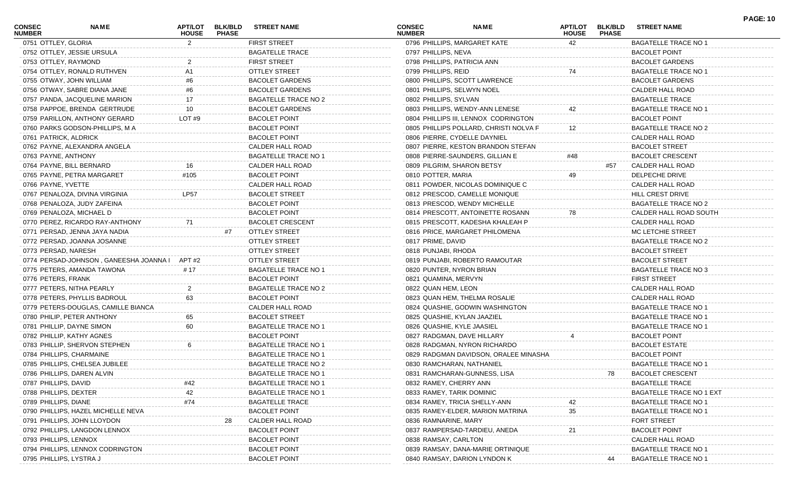| <b>CONSEC</b><br><b>NUMBER</b> | NAME                                          | APT/LOT<br><b>HOUSE</b> | <b>BLK/BLD</b><br><b>PHASE</b> | <b>STREET NAME</b>          | <b>CONSEC</b><br><b>NUMBER</b> | <b>NAME</b>                            | <b>APT/LOT</b><br><b>HOUSE</b> | <b>BLK/BLD</b><br><b>PHASE</b> | <b>STREET NAME</b>              | <b>PAGE: 10</b> |
|--------------------------------|-----------------------------------------------|-------------------------|--------------------------------|-----------------------------|--------------------------------|----------------------------------------|--------------------------------|--------------------------------|---------------------------------|-----------------|
| 0751 OTTLEY, GLORIA            |                                               | 2                       |                                | <b>FIRST STREET</b>         |                                | 0796 PHILLIPS, MARGARET KATE           | 42                             |                                | <b>BAGATELLE TRACE NO 1</b>     |                 |
|                                | 0752 OTTLEY, JESSIE URSULA                    |                         |                                | <b>BAGATELLE TRACE</b>      | 0797 PHILLIPS, NEVA            |                                        |                                |                                | <b>BACOLET POINT</b>            |                 |
| 0753 OTTLEY, RAYMOND           |                                               |                         |                                | <b>FIRST STREET</b>         | 0798 PHILLIPS, PATRICIA ANN    |                                        |                                |                                | <b>BACOLET GARDENS</b>          |                 |
|                                | 0754 OTTLEY, RONALD RUTHVEN                   | A1                      |                                | <b>OTTLEY STREET</b>        | 0799 PHILLIPS, REID            |                                        | 74                             |                                | <b>BAGATELLE TRACE NO 1</b>     |                 |
|                                | 0755 OTWAY, JOHN WILLIAM                      | #6                      |                                | <b>BACOLET GARDENS</b>      |                                | 0800 PHILLIPS, SCOTT LAWRENCE          |                                |                                | <b>BACOLET GARDENS</b>          |                 |
|                                | 0756 OTWAY, SABRE DIANA JANE                  |                         |                                | <b>BACOLET GARDENS</b>      | 0801 PHILLIPS, SELWYN NOEL     |                                        |                                |                                | CALDER HALL ROAD                |                 |
|                                | 0757 PANDA, JACQUELINE MARION                 | 17                      |                                | <b>BAGATELLE TRACE NO 2</b> | 0802 PHILLIPS, SYLVAN          |                                        |                                |                                | <b>BAGATELLE TRACE</b>          |                 |
|                                | 0758 PAPPOE, BRENDA GERTRUDE                  | 10                      |                                | <b>BACOLET GARDENS</b>      |                                | 0803 PHILLIPS, WENDY-ANN LENESE        | 42                             |                                | <b>BAGATELLE TRACE NO 1</b>     |                 |
|                                | 0759 PARILLON, ANTHONY GERARD                 | LOT #9                  |                                | <b>BACOLET POINT</b>        |                                | 0804 PHILLIPS III, LENNOX CODRINGTON   |                                |                                | <b>BACOLET POINT</b>            |                 |
|                                | 0760 PARKS GODSON-PHILLIPS, M A               |                         |                                | <b>BACOLET POINT</b>        |                                | 0805 PHILLIPS POLLARD, CHRISTI NOLVA F | 12                             |                                | BAGATELLE TRACE NO 2            |                 |
| 0761 PATRICK, ALDRICK          |                                               |                         |                                | <b>BACOLET POINT</b>        |                                | 0806 PIERRE, CYDELLE DAYNIEL           |                                |                                | CALDER HALL ROAD                |                 |
|                                | 0762 PAYNE, ALEXANDRA ANGELA                  |                         |                                | CALDER HALL ROAD            |                                | 0807 PIERRE, KESTON BRANDON STEFAN     |                                |                                | <b>BACOLET STREET</b>           |                 |
| 0763 PAYNE, ANTHONY            |                                               |                         |                                | <b>BAGATELLE TRACE NO 1</b> |                                | 0808 PIERRE-SAUNDERS, GILLIAN E        | #48                            |                                | <b>BACOLET CRESCENT</b>         |                 |
|                                | 0764 PAYNE, BILL BERNARD                      | 16                      |                                | CALDER HALL ROAD            |                                | 0809 PILGRIM, SHARON BETSY             |                                | #57                            | CALDER HALL ROAD                |                 |
|                                | 0765 PAYNE, PETRA MARGARET                    | #105                    |                                | <b>BACOLET POINT</b>        | 0810 POTTER, MARIA             |                                        | 49                             |                                | DELPECHE DRIVE                  |                 |
| 0766 PAYNE, YVETTE             |                                               |                         |                                | CALDER HALL ROAD            |                                | 0811 POWDER, NICOLAS DOMINIQUE C       |                                |                                | CALDER HALL ROAD                |                 |
|                                | 0767 PENALOZA, DIVINA VIRGINIA                | LP57                    |                                | <b>BACOLET STREET</b>       |                                | 0812 PRESCOD, CAMELLE MONIQUE          |                                |                                | HILL CREST DRIVE                |                 |
|                                | 0768 PENALOZA, JUDY ZAFEINA                   |                         |                                | <b>BACOLET POINT</b>        |                                | 0813 PRESCOD, WENDY MICHELLE           |                                |                                | <b>BAGATELLE TRACE NO 2</b>     |                 |
|                                | 0769 PENALOZA, MICHAEL D                      |                         |                                | <b>BACOLET POINT</b>        |                                | 0814 PRESCOTT, ANTOINETTE ROSANN       | 78                             |                                | CALDER HALL ROAD SOUTH          |                 |
|                                | 0770 PEREZ, RICARDO RAY-ANTHONY               | 71                      |                                | <b>BACOLET CRESCENT</b>     |                                | 0815 PRESCOTT, KADESHA KHALEAH P       |                                |                                | CALDER HALL ROAD                |                 |
|                                | 0771 PERSAD, JENNA JAYA NADIA                 |                         | #7                             | <b>OTTLEY STREET</b>        |                                | 0816 PRICE, MARGARET PHILOMENA         |                                |                                | MC LETCHIE STREET               |                 |
|                                | 0772 PERSAD, JOANNA JOSANNE                   |                         |                                | <b>OTTLEY STREET</b>        | 0817 PRIME, DAVID              |                                        |                                |                                | BAGATELLE TRACE NO 2            |                 |
| 0773 PERSAD, NARESH            |                                               |                         |                                | <b>OTTLEY STREET</b>        | 0818 PUNJABI, RHODA            |                                        |                                |                                | <b>BACOLET STREET</b>           |                 |
|                                | 0774 PERSAD-JOHNSON, GANEESHA JOANNA   APT #2 |                         |                                | <b>OTTLEY STREET</b>        |                                | 0819 PUNJABI, ROBERTO RAMOUTAR         |                                |                                | <b>BACOLET STREET</b>           |                 |
|                                |                                               | # 17                    |                                | <b>BAGATELLE TRACE NO 1</b> |                                |                                        |                                |                                |                                 |                 |
|                                | 0775 PETERS, AMANDA TAWONA                    |                         |                                |                             | 0820 PUNTER, NYRON BRIAN       |                                        |                                |                                | BAGATELLE TRACE NO 3            |                 |
| 0776 PETERS, FRANK             |                                               |                         |                                | <b>BACOLET POINT</b>        | 0821 QUAMINA, MERVYN           |                                        |                                |                                | <b>FIRST STREET</b>             |                 |
|                                | 0777 PETERS, NITHA PEARLY                     |                         |                                | <b>BAGATELLE TRACE NO 2</b> | 0822 QUAN HEM, LEON            |                                        |                                |                                | CALDER HALL ROAD                |                 |
|                                | 0778 PETERS, PHYLLIS BADROUL                  | 63                      |                                | <b>BACOLET POINT</b>        |                                | 0823 QUAN HEM, THELMA ROSALIE          |                                |                                | CALDER HALL ROAD                |                 |
|                                | 0779 PETERS-DOUGLAS, CAMILLE BIANCA           |                         |                                | CALDER HALL ROAD            |                                | 0824 QUASHIE, GODWIN WASHINGTON        |                                |                                | <b>BAGATELLE TRACE NO 1</b>     |                 |
|                                | 0780 PHILIP, PETER ANTHONY                    | 65                      |                                | <b>BACOLET STREET</b>       |                                | 0825 QUASHIE, KYLAN JAAZIEL            |                                |                                | <b>BAGATELLE TRACE NO 1</b>     |                 |
|                                | 0781 PHILLIP, DAYNE SIMON                     | 60                      |                                | <b>BAGATELLE TRACE NO 1</b> | 0826 QUASHIE, KYLE JAASIEL     |                                        |                                |                                | <b>BAGATELLE TRACE NO 1</b>     |                 |
|                                | 0782 PHILLIP, KATHY AGNES                     |                         |                                | <b>BACOLET POINT</b>        |                                | 0827 RADGMAN, DAVE HILLARY             |                                |                                | <b>BACOLET POINT</b>            |                 |
|                                | 0783 PHILLIP, SHERVON STEPHEN                 |                         |                                | <b>BAGATELLE TRACE NO 1</b> |                                | 0828 RADGMAN, NYRON RICHARDO           |                                |                                | <b>BACOLET ESTATE</b>           |                 |
|                                | 0784 PHILLIPS, CHARMAINE                      |                         |                                | <b>BAGATELLE TRACE NO 1</b> |                                | 0829 RADGMAN DAVIDSON, ORALEE MINASHA  |                                |                                | <b>BACOLET POINT</b>            |                 |
|                                | 0785 PHILLIPS, CHELSEA JUBILEE                |                         |                                | <b>BAGATELLE TRACE NO 2</b> |                                | 0830 RAMCHARAN, NATHANIEL              |                                |                                | <b>BAGATELLE TRACE NO 1</b>     |                 |
|                                | 0786 PHILLIPS, DAREN ALVIN                    |                         |                                | <b>BAGATELLE TRACE NO 1</b> |                                | 0831 RAMCHARAN-GUNNESS, LISA           |                                | 78                             | <b>BACOLET CRESCENT</b>         |                 |
| 0787 PHILLIPS, DAVID           |                                               |                         |                                | <b>BAGATELLE TRACE NO 1</b> | 0832 RAMEY, CHERRY ANN         |                                        |                                |                                | <b>BAGATELLE TRACE</b>          |                 |
| 0788 PHILLIPS, DEXTER          |                                               | 42                      |                                | <b>BAGATELLE TRACE NO 1</b> | 0833 RAMEY, TARIK DOMINIC      |                                        |                                |                                | <b>BAGATELLE TRACE NO 1 EXT</b> |                 |
| 0789 PHILLIPS, DIANE           |                                               | #74                     |                                | <b>BAGATELLE TRACE</b>      |                                | 0834 RAMEY, TRICIA SHELLY-ANN          |                                |                                | <b>BAGATELLE TRACE NO 1</b>     |                 |
|                                | 0790 PHILLIPS, HAZEL MICHELLE NEVA            |                         |                                | <b>BACOLET POINT</b>        |                                | 0835 RAMEY-ELDER, MARION MATRINA       | 35                             |                                | <b>BAGATELLE TRACE NO 1</b>     |                 |
|                                | 0791 PHILLIPS, JOHN LLOYDON                   |                         | 28                             | CALDER HALL ROAD            | 0836 RAMNARINE, MARY           |                                        |                                |                                | FORT STREET                     |                 |
|                                | 0792 PHILLIPS, LANGDON LENNOX                 |                         |                                | <b>BACOLET POINT</b>        |                                | 0837 RAMPERSAD-TARDIEU, ANEDA          | 21                             |                                | <b>BACOLET POINT</b>            |                 |
| 0793 PHILLIPS, LENNOX          |                                               |                         |                                | <b>BACOLET POINT</b>        | 0838 RAMSAY, CARLTON           |                                        |                                |                                | CALDER HALL ROAD                |                 |
|                                | 0794 PHILLIPS, LENNOX CODRINGTON              |                         |                                | <b>BACOLET POINT</b>        |                                | 0839 RAMSAY, DANA-MARIE ORTINIQUE      |                                |                                | <b>BAGATELLE TRACE NO 1</b>     |                 |
| 0795 PHILLIPS, LYSTRA J        |                                               |                         |                                | <b>BACOLET POINT</b>        |                                | 0840 RAMSAY, DARION LYNDON K           |                                | 44                             | <b>BAGATELLE TRACE NO 1</b>     |                 |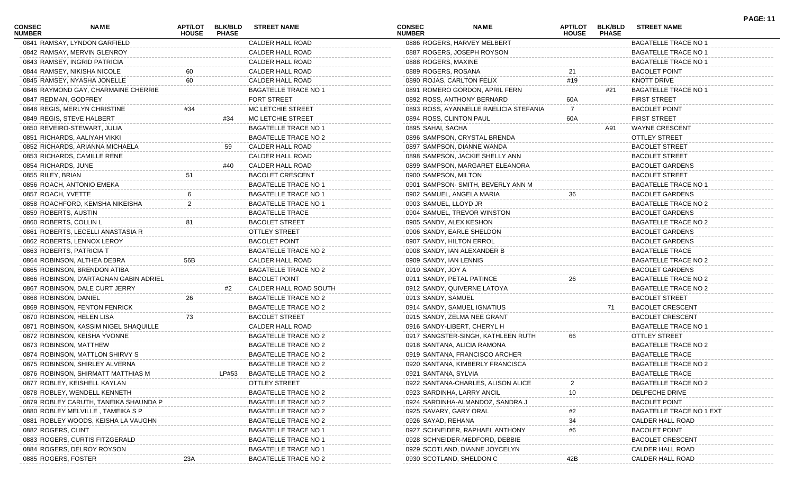| <b>CONSEC</b><br><b>NUMBER</b> | NAME                                   | APT/LOT<br><b>HOUSE</b> | <b>BLK/BLD</b><br><b>PHASE</b> | <b>STREET NAME</b>          | <b>CONSEC</b><br><b>NUMBER</b> | <b>NAME</b>                            | APT/LOT<br><b>HOUSE</b> | <b>BLK/BLD</b><br><b>PHASE</b> | <b>STREET NAME</b>              | <b>PAGE: 11</b> |
|--------------------------------|----------------------------------------|-------------------------|--------------------------------|-----------------------------|--------------------------------|----------------------------------------|-------------------------|--------------------------------|---------------------------------|-----------------|
|                                | 0841 RAMSAY, LYNDON GARFIELD           |                         |                                | CALDER HALL ROAD            |                                | 0886 ROGERS, HARVEY MELBERT            |                         |                                | <b>BAGATELLE TRACE NO 1</b>     |                 |
|                                | 0842 RAMSAY, MERVIN GLENROY            |                         |                                | CALDER HALL ROAD            |                                | 0887 ROGERS, JOSEPH ROYSON             |                         |                                | <b>BAGATELLE TRACE NO 1</b>     |                 |
|                                | 0843 RAMSEY, INGRID PATRICIA           |                         |                                | CALDER HALL ROAD            | 0888 ROGERS, MAXINE            |                                        |                         |                                | <b>BAGATELLE TRACE NO 1</b>     |                 |
|                                | 0844 RAMSEY, NIKISHA NICOLE            | 60                      |                                | CALDER HALL ROAD            | 0889 ROGERS, ROSANA            |                                        | 21                      |                                | <b>BACOLET POINT</b>            |                 |
|                                | 0845 RAMSEY, NYASHA JONELLE            | 60                      |                                | CALDER HALL ROAD            |                                | 0890 ROJAS, CARLTON FELIX              | #19                     |                                | KNOTT DRIVE                     |                 |
|                                | 0846 RAYMOND GAY, CHARMAINE CHERRIE    |                         |                                | <b>BAGATELLE TRACE NO 1</b> |                                | 0891 ROMERO GORDON, APRIL FERN         |                         | #21                            | <b>BAGATELLE TRACE NO 1</b>     |                 |
| 0847 REDMAN, GODFREY           |                                        |                         |                                | <b>FORT STREET</b>          |                                | 0892 ROSS, ANTHONY BERNARD             | 60A                     |                                | <b>FIRST STREET</b>             |                 |
|                                | 0848 REGIS, MERLYN CHRISTINE           | #34                     |                                | MC LETCHIE STREET           |                                | 0893 ROSS, AYANNELLE RAELICIA STEFANIA | 7                       |                                | <b>BACOLET POINT</b>            |                 |
|                                | 0849 REGIS, STEVE HALBERT              |                         | #34                            | MC LETCHIE STREET           | 0894 ROSS, CLINTON PAUL        |                                        | 60A                     |                                | <b>FIRST STREET</b>             |                 |
|                                | 0850 REVEIRO-STEWART, JULIA            |                         |                                | <b>BAGATELLE TRACE NO 1</b> | 0895 SAHAI, SACHA              |                                        |                         | A91                            | <b>WAYNE CRESCENT</b>           |                 |
|                                | 0851 RICHARDS, AALIYAH VIKKI           |                         |                                | BAGATELLE TRACE NO 2        |                                | 0896 SAMPSON, CRYSTAL BRENDA           |                         |                                | <b>OTTLEY STREET</b>            |                 |
|                                | 0852 RICHARDS, ARIANNA MICHAELA        |                         |                                | CALDER HALL ROAD            |                                | 0897 SAMPSON, DIANNE WANDA             |                         |                                | <b>BACOLET STREET</b>           |                 |
|                                | 0853 RICHARDS, CAMILLE RENE            |                         |                                | CALDER HALL ROAD            |                                | 0898 SAMPSON, JACKIE SHELLY ANN        |                         |                                | <b>BACOLET STREET</b>           |                 |
| 0854 RICHARDS, JUNE            |                                        |                         | #40                            | CALDER HALL ROAD            |                                | 0899 SAMPSON, MARGARET ELEANORA        |                         |                                | <b>BACOLET GARDENS</b>          |                 |
| 0855 RILEY, BRIAN              |                                        | 51                      |                                | BACOLET CRESCENT            | 0900 SAMPSON, MILTON           |                                        |                         |                                | <b>BACOLET STREET</b>           |                 |
|                                | 0856 ROACH, ANTONIO EMEKA              |                         |                                | <b>BAGATELLE TRACE NO 1</b> |                                | 0901 SAMPSON-SMITH, BEVERLY ANN M      |                         |                                | <b>BAGATELLE TRACE NO 1</b>     |                 |
| 0857 ROACH, YVETTE             |                                        |                         |                                | <b>BAGATELLE TRACE NO 1</b> |                                | 0902 SAMUEL, ANGELA MARIA              | 36                      |                                | <b>BACOLET GARDENS</b>          |                 |
|                                | 0858 ROACHFORD, KEMSHA NIKEISHA        |                         |                                | <b>BAGATELLE TRACE NO 1</b> | 0903 SAMUEL, LLOYD JR          |                                        |                         |                                | BAGATELLE TRACE NO 2            |                 |
| 0859 ROBERTS, AUSTIN           |                                        |                         |                                | <b>BAGATELLE TRACE</b>      |                                | 0904 SAMUEL, TREVOR WINSTON            |                         |                                | <b>BACOLET GARDENS</b>          |                 |
| 0860 ROBERTS, COLLIN L         |                                        | 81                      |                                | <b>BACOLET STREET</b>       | 0905 SANDY, ALEX KESHON        |                                        |                         |                                | BAGATELLE TRACE NO 2            |                 |
|                                | 0861 ROBERTS, LECELLI ANASTASIA R      |                         |                                | <b>OTTLEY STREET</b>        |                                | 0906 SANDY, EARLE SHELDON              |                         |                                | <b>BACOLET GARDENS</b>          |                 |
|                                | 0862 ROBERTS, LENNOX LEROY             |                         |                                | <b>BACOLET POINT</b>        | 0907 SANDY, HILTON ERROL       |                                        |                         |                                | <b>BACOLET GARDENS</b>          |                 |
|                                | 0863 ROBERTS, PATRICIA T               |                         |                                | <b>BAGATELLE TRACE NO 2</b> |                                | 0908 SANDY, IAN ALEXANDER B            |                         |                                | <b>BAGATELLE TRACE</b>          |                 |
|                                | 0864 ROBINSON, ALTHEA DEBRA            | 56B                     |                                | CALDER HALL ROAD            | 0909 SANDY, IAN LENNIS         |                                        |                         |                                | <b>BAGATELLE TRACE NO 2</b>     |                 |
|                                | 0865 ROBINSON, BRENDON ATIBA           |                         |                                | <b>BAGATELLE TRACE NO 2</b> | 0910 SANDY, JOY A              |                                        |                         |                                | <b>BACOLET GARDENS</b>          |                 |
|                                | 0866 ROBINSON, D'ARTAGNAN GABIN ADRIEL |                         |                                | <b>BACOLET POINT</b>        |                                | 0911 SANDY, PETAL PATINCE              | 26                      |                                | <b>BAGATELLE TRACE NO 2</b>     |                 |
|                                | 0867 ROBINSON, DALE CURT JERRY         |                         | #2                             | CALDER HALL ROAD SOUTH      |                                | 0912 SANDY, QUIVERNE LATOYA            |                         |                                | BAGATELLE TRACE NO 2            |                 |
| 0868 ROBINSON, DANIEL          |                                        | 26                      |                                | <b>BAGATELLE TRACE NO 2</b> | 0913 SANDY, SAMUEL             |                                        |                         |                                | <b>BACOLET STREET</b>           |                 |
|                                | 0869 ROBINSON, FENTON FENRICK          |                         |                                | <b>BAGATELLE TRACE NO 2</b> |                                | 0914 SANDY, SAMUEL IGNATIUS            |                         | 71                             | <b>BACOLET CRESCENT</b>         |                 |
|                                | 0870 ROBINSON, HELEN LISA              | 73                      |                                | <b>BACOLET STREET</b>       |                                | 0915 SANDY, ZELMA NEE GRANT            |                         |                                | <b>BACOLET CRESCENT</b>         |                 |
|                                | 0871 ROBINSON, KASSIM NIGEL SHAQUILLE  |                         |                                | CALDER HALL ROAD            |                                | 0916 SANDY-LIBERT, CHERYL H            |                         |                                | <b>BAGATELLE TRACE NO 1</b>     |                 |
|                                | 0872 ROBINSON, KEISHA YVONNE           |                         |                                | <b>BAGATELLE TRACE NO 2</b> |                                | 0917 SANGSTER-SINGH, KATHLEEN RUTH     | 66                      |                                | <b>OTTLEY STREET</b>            |                 |
|                                | 0873 ROBINSON, MATTHEW                 |                         |                                | BAGATELLE TRACE NO 2        |                                | 0918 SANTANA, ALICIA RAMONA            |                         |                                | <b>BAGATELLE TRACE NO 2</b>     |                 |
|                                | 0874 ROBINSON, MATTLON SHIRVY S        |                         |                                | <b>BAGATELLE TRACE NO 2</b> |                                | 0919 SANTANA, FRANCISCO ARCHER         |                         |                                | <b>BAGATELLE TRACE</b>          |                 |
|                                | 0875 ROBINSON, SHIRLEY ALVERNA         |                         |                                | <b>BAGATELLE TRACE NO 2</b> |                                | 0920 SANTANA, KIMBERLY FRANCISCA       |                         |                                | <b>BAGATELLE TRACE NO 2</b>     |                 |
|                                | 0876 ROBINSON, SHIRMATT MATTHIAS M     |                         | LP#53                          | BAGATELLE TRACE NO 2        | 0921 SANTANA, SYLVIA           |                                        |                         |                                | <b>BAGATELLE TRACE</b>          |                 |
|                                | 0877 ROBLEY, KEISHELL KAYLAN           |                         |                                | <b>OTTLEY STREET</b>        |                                | 0922 SANTANA-CHARLES, ALISON ALICE     |                         |                                | <b>BAGATELLE TRACE NO 2</b>     |                 |
|                                | 0878 ROBLEY, WENDELL KENNETH           |                         |                                | <b>BAGATELLE TRACE NO 2</b> |                                | 0923 SARDINHA, LARRY ANCIL             | 10                      |                                | DELPECHE DRIVE                  |                 |
|                                | 0879 ROBLEY CARUTH, TANEIKA SHAUNDA P  |                         |                                | <b>BAGATELLE TRACE NO 2</b> |                                | 0924 SARDINHA-ALMANDOZ, SANDRA J       |                         |                                | <b>BACOLET POINT</b>            |                 |
|                                | 0880 ROBLEY MELVILLE, TAMEIKA S P      |                         |                                | <b>BAGATELLE TRACE NO 2</b> | 0925 SAVARY, GARY ORAL         |                                        | #2                      |                                | <b>BAGATELLE TRACE NO 1 EXT</b> |                 |
|                                | 0881 ROBLEY WOODS, KEISHA LA VAUGHN    |                         |                                | <b>BAGATELLE TRACE NO 2</b> | 0926 SAYAD, REHANA             |                                        | 34                      |                                | CALDER HALL ROAD                |                 |
| 0882 ROGERS, CLINT             |                                        |                         |                                | <b>BAGATELLE TRACE NO 1</b> |                                | 0927 SCHNEIDER, RAPHAEL ANTHONY        | #6                      |                                | <b>BACOLET POINT</b>            |                 |
|                                | 0883 ROGERS, CURTIS FITZGERALD         |                         |                                | <b>BAGATELLE TRACE NO 1</b> |                                | 0928 SCHNEIDER-MEDFORD, DEBBIE         |                         |                                | <b>BACOLET CRESCENT</b>         |                 |
|                                | 0884 ROGERS, DELROY ROYSON             |                         |                                | <b>BAGATELLE TRACE NO 1</b> |                                | 0929 SCOTLAND, DIANNE JOYCELYN         |                         |                                | CALDER HALL ROAD                |                 |
| 0885 ROGERS, FOSTER            |                                        | 23A                     |                                | <b>BAGATELLE TRACE NO 2</b> |                                | 0930 SCOTLAND, SHELDON C               | 42B                     |                                | CALDER HALL ROAD                |                 |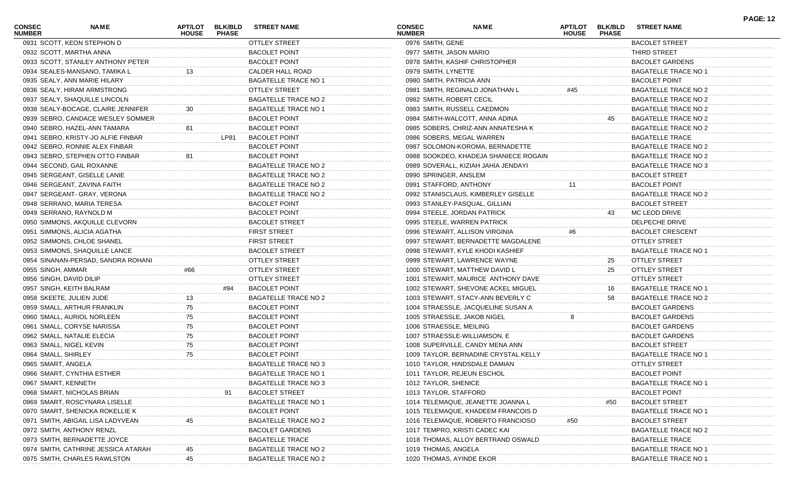| <b>CONSEC</b><br><b>NUMBER</b> | <b>NAME</b>                         | <b>HOUSE</b> | APT/LOT BLK/BLD<br><b>PHASE</b> | <b>STREET NAME</b>          | <b>CONSEC</b><br><b>NUMBER</b> | <b>NAME</b>                           | <b>APT/LOT</b><br><b>HOUSE</b> | <b>BLK/BLD</b><br><b>PHASE</b> | <b>STREET NAME</b>          | <b>PAGE: 12</b> |
|--------------------------------|-------------------------------------|--------------|---------------------------------|-----------------------------|--------------------------------|---------------------------------------|--------------------------------|--------------------------------|-----------------------------|-----------------|
|                                | 0931 SCOTT, KEON STEPHON D          |              |                                 | <b>OTTLEY STREET</b>        | 0976 SMITH, GENE               |                                       |                                |                                | <b>BACOLET STREET</b>       |                 |
|                                | 0932 SCOTT, MARTHA ANNA             |              |                                 | <b>BACOLET POINT</b>        | 0977 SMITH, JASON MARIO        |                                       |                                |                                | <b>THIRD STREET</b>         |                 |
|                                | 0933 SCOTT, STANLEY ANTHONY PETER   |              |                                 | <b>BACOLET POINT</b>        |                                | 0978 SMITH, KASHIF CHRISTOPHER        |                                |                                | <b>BACOLET GARDENS</b>      |                 |
|                                | 0934 SEALES-MANSANO, TAMIKA L       |              |                                 | CALDER HALL ROAD            | 0979 SMITH, LYNETTE            |                                       |                                |                                | <b>BAGATELLE TRACE NO 1</b> |                 |
|                                | 0935 SEALY, ANN MARIE HILARY        |              |                                 | <b>BAGATELLE TRACE NO 1</b> | 0980 SMITH, PATRICIA ANN       |                                       |                                |                                | <b>BACOLET POINT</b>        |                 |
|                                | 0936 SEALY, HIRAM ARMSTRONG         |              |                                 | <b>OTTLEY STREET</b>        |                                | 0981 SMITH, REGINALD JONATHAN L       | #45                            |                                | <b>BAGATELLE TRACE NO 2</b> |                 |
|                                | 0937 SEALY, SHAQUILLE LINCOLN       |              |                                 | <b>BAGATELLE TRACE NO 2</b> | 0982 SMITH, ROBERT CECIL       |                                       |                                |                                | BAGATELLE TRACE NO 2        |                 |
|                                | 0938 SEALY-BOCAGE, CLAIRE JENNIFER  |              |                                 | <b>BAGATELLE TRACE NO 1</b> |                                | 0983 SMITH, RUSSELL CAEDMON           |                                |                                | <b>BAGATELLE TRACE NO 2</b> |                 |
|                                | 0939 SEBRO, CANDACE WESLEY SOMMER   |              |                                 | <b>BACOLET POINT</b>        |                                | 0984 SMITH-WALCOTT, ANNA ADINA        |                                | 45                             | <b>BAGATELLE TRACE NO 2</b> |                 |
|                                | 0940 SEBRO, HAZEL-ANN TAMARA        | 81           |                                 | <b>BACOLET POINT</b>        |                                | 0985 SOBERS, CHRIZ-ANN ANNATESHA K    |                                |                                | <b>BAGATELLE TRACE NO 2</b> |                 |
|                                | 0941 SEBRO, KRISTY-JO ALFIE FINBAR  |              | LP81                            | <b>BACOLET POINT</b>        |                                | 0986 SOBERS, MEGAL WARREN             |                                |                                | <b>BAGATELLE TRACE</b>      |                 |
|                                | 0942 SEBRO, RONNIE ALEX FINBAR      |              |                                 | <b>BACOLET POINT</b>        |                                | 0987 SOLOMON-KOROMA, BERNADETTE       |                                |                                | BAGATELLE TRACE NO 2        |                 |
|                                | 0943 SEBRO, STEPHEN OTTO FINBAR     | 81           |                                 | <b>BACOLET POINT</b>        |                                | 0988 SOOKDEO, KHADEJA SHANIECE ROGAIN |                                |                                | <b>BAGATELLE TRACE NO 2</b> |                 |
|                                | 0944 SECOND, GAIL ROXANNE           |              |                                 | BAGATELLE TRACE NO 2        |                                | 0989 SOVERALL, KIZIAH JAHIA JENDAYI   |                                |                                | BAGATELLE TRACE NO 3        |                 |
|                                | 0945 SERGEANT, GISELLE LANIE        |              |                                 | <b>BAGATELLE TRACE NO 2</b> | 0990 SPRINGER, ANSLEM          |                                       |                                |                                | <b>BACOLET STREET</b>       |                 |
|                                | 0946 SERGEANT, ZAVINA FAITH         |              |                                 | BAGATELLE TRACE NO 2        | 0991 STAFFORD, ANTHONY         |                                       | 11                             |                                | <b>BACOLET POINT</b>        |                 |
|                                | 0947 SERGEANT- GRAY, VERONA         |              |                                 | <b>BAGATELLE TRACE NO 2</b> |                                | 0992 STANISCLAUS, KIMBERLEY GISELLE   |                                |                                | <b>BAGATELLE TRACE NO 2</b> |                 |
|                                | 0948 SERRANO, MARIA TERESA          |              |                                 | <b>BACOLET POINT</b>        |                                | 0993 STANLEY-PASQUAL, GILLIAN         |                                |                                | <b>BACOLET STREET</b>       |                 |
|                                | 0949 SERRANO, RAYNOLD M             |              |                                 | <b>BACOLET POINT</b>        |                                | 0994 STEELE, JORDAN PATRICK           |                                | 43                             | MC LEOD DRIVE               |                 |
|                                | 0950 SIMMONS, AKQUILLE CLEVORN      |              |                                 | <b>BACOLET STREET</b>       |                                | 0995 STEELE, WARREN PATRICK           |                                |                                | DELPECHE DRIVE              |                 |
|                                | 0951 SIMMONS, ALICIA AGATHA         |              |                                 | <b>FIRST STREET</b>         |                                | 0996 STEWART, ALLISON VIRGINIA        |                                |                                | <b>BACOLET CRESCENT</b>     |                 |
|                                | 0952 SIMMONS, CHLOE SHANEL          |              |                                 | <b>FIRST STREET</b>         |                                | 0997 STEWART, BERNADETTE MAGDALENE    |                                |                                | <b>OTTLEY STREET</b>        |                 |
|                                | 0953 SIMMONS, SHAQUILLE LANCE       |              |                                 | <b>BACOLET STREET</b>       |                                | 0998 STEWART, KYLE KHODI KASHIEF      |                                |                                | <b>BAGATELLE TRACE NO 1</b> |                 |
|                                | 0954 SINANAN-PERSAD, SANDRA ROHANI  |              |                                 | <b>OTTLEY STREET</b>        |                                | 0999 STEWART, LAWRENCE WAYNE          |                                | 25                             | <b>OTTLEY STREET</b>        |                 |
|                                |                                     |              |                                 |                             |                                |                                       |                                | 25                             |                             |                 |
| 0955 SINGH, AMMAR              |                                     | #66          |                                 | <b>OTTLEY STREET</b>        |                                | 1000 STEWART, MATTHEW DAVID L         |                                |                                | <b>OTTLEY STREET</b>        |                 |
| 0956 SINGH, DAVID DILIP        |                                     |              |                                 | <b>OTTLEY STREET</b>        |                                | 1001 STEWART, MAURICE ANTHONY DAVE    |                                |                                | <b>OTTLEY STREET</b>        |                 |
|                                | 0957 SINGH, KEITH BALRAM            |              | #94                             | <b>BACOLET POINT</b>        |                                | 1002 STEWART, SHEVONE ACKEL MIGUEL    |                                | 16                             | <b>BAGATELLE TRACE NO 1</b> |                 |
|                                | 0958 SKEETE, JULIEN JUDE            |              |                                 | <b>BAGATELLE TRACE NO 2</b> |                                | 1003 STEWART, STACY-ANN BEVERLY C     |                                | 58                             | BAGATELLE TRACE NO 2        |                 |
|                                | 0959 SMALL, ARTHUR FRANKLIN         | 75           |                                 | <b>BACOLET POINT</b>        |                                | 1004 STRAESSLE, JACQUELINE SUSAN A    |                                |                                | <b>BACOLET GARDENS</b>      |                 |
|                                | 0960 SMALL, AURIOL NORLEEN          | 75           |                                 | <b>BACOLET POINT</b>        |                                | 1005 STRAESSLE, JAKOB NIGEL           | 8                              |                                | <b>BACOLET GARDENS</b>      |                 |
|                                | 0961 SMALL, CORYSE NARISSA          | 75           |                                 | <b>BACOLET POINT</b>        | 1006 STRAESSLE, MEILING        |                                       |                                |                                | <b>BACOLET GARDENS</b>      |                 |
|                                | 0962 SMALL, NATALIE ELECIA          | 75           |                                 | <b>BACOLET POINT</b>        |                                | 1007 STRAESSLE-WILLIAMSON, E          |                                |                                | <b>BACOLET GARDENS</b>      |                 |
| 0963 SMALL, NIGEL KEVIN        |                                     | 75           |                                 | <b>BACOLET POINT</b>        |                                | 1008 SUPERVILLE, CANDY MENA ANN       |                                |                                | <b>BACOLET STREET</b>       |                 |
| 0964 SMALL, SHIRLEY            |                                     | 75           |                                 | <b>BACOLET POINT</b>        |                                | 1009 TAYLOR, BERNADINE CRYSTAL KELLY  |                                |                                | <b>BAGATELLE TRACE NO 1</b> |                 |
| 0965 SMART, ANGELA             |                                     |              |                                 | <b>BAGATELLE TRACE NO 3</b> |                                | 1010 TAYLOR, HINDSDALE DAMIAN         |                                |                                | OTTLEY STREET               |                 |
|                                | 0966 SMART, CYNTHIA ESTHER          |              |                                 | <b>BAGATELLE TRACE NO 1</b> |                                | 1011 TAYLOR, REJEUN ESCHOL            |                                |                                | <b>BACOLET POINT</b>        |                 |
| 0967 SMART, KENNETH            |                                     |              |                                 | <b>BAGATELLE TRACE NO 3</b> | 1012 TAYLOR, SHENICE           |                                       |                                |                                | <b>BAGATELLE TRACE NO</b>   |                 |
|                                | 0968 SMART, NICHOLAS BRIAN          |              |                                 | <b>BACOLET STREET</b>       | 1013 TAYLOR, STAFFORD          |                                       |                                |                                | <b>BACOLET POINT</b>        |                 |
|                                | 0969 SMART, ROSCYNARA LISELLE       |              |                                 | <b>BAGATELLE TRACE NO</b>   |                                | 1014 TELEMAQUE, JEANETTE JOANNA L     |                                | #50                            | <b>BACOLET STREET</b>       |                 |
|                                | 0970 SMART, SHENICKA ROKELLIE K     |              |                                 | <b>BACOLET POINT</b>        |                                | 1015 TELEMAQUE, KHADEEM FRANCOIS D    |                                |                                | BAGATELLE TRACE NO          |                 |
|                                | 0971 SMITH, ABIGAIL LISA LADYVEAN   |              |                                 | <b>BAGATELLE TRACE NO 2</b> |                                | 1016 TELEMAQUE, ROBERTO FRANCIOSO     | #50                            |                                | <b>BACOLET STREET</b>       |                 |
|                                | 0972 SMITH, ANTHONY RENZL           |              |                                 | <b>BACOLET GARDENS</b>      |                                | 1017 TEMPRO, KRISTI CADEC KAI         |                                |                                | <b>BAGATELLE TRACE NO 2</b> |                 |
|                                | 0973 SMITH, BERNADETTE JOYCE        |              |                                 | <b>BAGATELLE TRACE</b>      |                                | 1018 THOMAS, ALLOY BERTRAND OSWALD    |                                |                                | <b>BAGATELLE TRACE</b>      |                 |
|                                | 0974 SMITH, CATHRINE JESSICA ATARAH |              |                                 | <b>BAGATELLE TRACE NO 2</b> | 1019 THOMAS, ANGELA            |                                       |                                |                                | <b>BAGATELLE TRACE NO 1</b> |                 |
|                                | 0975 SMITH, CHARLES RAWLSTON        | 45           |                                 | <b>BAGATELLE TRACE NO 2</b> |                                | 1020 THOMAS, AYINDE EKOR              |                                |                                | <b>BAGATELLE TRACE NO 1</b> |                 |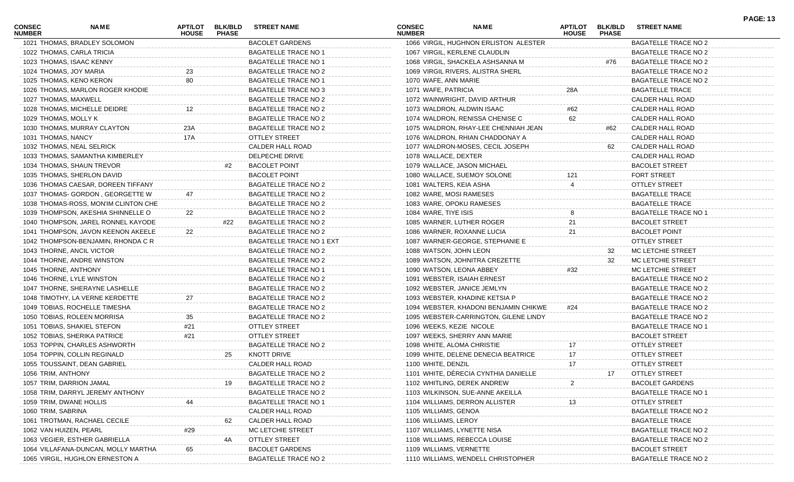| <b>CONSEC</b><br><b>NUMBER</b> | NAME                                 | APT/LOT<br><b>HOUSE</b> | <b>BLK/BLD</b><br><b>PHASE</b> | <b>STREET NAME</b>          | <b>CONSEC</b><br><b>NUMBER</b> | <b>NAME</b>                           | APT/LOT<br><b>HOUSE</b> | <b>BLK/BLD</b><br><b>PHASE</b> | <b>STREET NAME</b>          | <b>PAGE: 13</b> |
|--------------------------------|--------------------------------------|-------------------------|--------------------------------|-----------------------------|--------------------------------|---------------------------------------|-------------------------|--------------------------------|-----------------------------|-----------------|
|                                | 1021 THOMAS, BRADLEY SOLOMON         |                         |                                | <b>BACOLET GARDENS</b>      |                                | 1066 VIRGIL, HUGHNON ERLISTON ALESTER |                         |                                | <b>BAGATELLE TRACE NO 2</b> |                 |
|                                | 1022 THOMAS, CARLA TRICIA            |                         |                                | <b>BAGATELLE TRACE NO 1</b> |                                | 1067 VIRGIL, KERLENE CLAUDLIN         |                         |                                | BAGATELLE TRACE NO 2        |                 |
|                                | 1023 THOMAS, ISAAC KENNY             |                         |                                | <b>BAGATELLE TRACE NO 1</b> |                                | 1068 VIRGIL, SHACKELA ASHSANNA M      |                         | #76                            | BAGATELLE TRACE NO 2        |                 |
| 1024 THOMAS, JOY MARIA         |                                      | 23                      |                                | <b>BAGATELLE TRACE NO 2</b> |                                | 1069 VIRGIL RIVERS, ALISTRA SHERL     |                         |                                | BAGATELLE TRACE NO 2        |                 |
|                                | 1025 THOMAS, KENO KERON              | 80                      |                                | <b>BAGATELLE TRACE NO 1</b> | 1070 WAFE, ANN MARIE           |                                       |                         |                                | BAGATELLE TRACE NO 2        |                 |
|                                | 1026 THOMAS, MARLON ROGER KHODIE     |                         |                                | BAGATELLE TRACE NO 3        | 1071 WAFE, PATRICIA            |                                       | 28A                     |                                | <b>BAGATELLE TRACE</b>      |                 |
| 1027 THOMAS, MAXWELL           |                                      |                         |                                | <b>BAGATELLE TRACE NO 2</b> |                                | 1072 WAINWRIGHT, DAVID ARTHUR         |                         |                                | CALDER HALL ROAD            |                 |
|                                | 1028 THOMAS, MICHELLE DEIDRE         | 12                      |                                | <b>BAGATELLE TRACE NO 2</b> |                                | 1073 WALDRON, ALDWIN ISAAC            | #62                     |                                | CALDER HALL ROAD            |                 |
| 1029 THOMAS, MOLLY K           |                                      |                         |                                | <b>BAGATELLE TRACE NO 2</b> |                                | 1074 WALDRON, RENISSA CHENISE C       | 62                      |                                | CALDER HALL ROAD            |                 |
|                                | 1030 THOMAS, MURRAY CLAYTON          | 23A                     |                                | <b>BAGATELLE TRACE NO 2</b> |                                | 1075 WALDRON, RHAY-LEE CHENNIAH JEAN  |                         | #62                            | CALDER HALL ROAD            |                 |
| 1031 THOMAS, NANCY             |                                      | 17A                     |                                | OTTLEY STREET               |                                | 1076 WALDRON, RHIAN CHADDONAY A       |                         |                                | CALDER HALL ROAD            |                 |
|                                | 1032 THOMAS, NEAL SELRICK            |                         |                                | CALDER HALL ROAD            |                                | 1077 WALDRON-MOSES, CECIL JOSEPH      |                         | 62                             | CALDER HALL ROAD            |                 |
|                                | 1033 THOMAS, SAMANTHA KIMBERLEY      |                         |                                | DELPECHE DRIVE              | 1078 WALLACE, DEXTER           |                                       |                         |                                | CALDER HALL ROAD            |                 |
|                                | 1034 THOMAS, SHAUN TREVOR            |                         | #2                             | <b>BACOLET POINT</b>        |                                | 1079 WALLACE, JASON MICHAEL           |                         |                                | <b>BACOLET STREET</b>       |                 |
|                                | 1035 THOMAS, SHERLON DAVID           |                         |                                | <b>BACOLET POINT</b>        |                                | 1080 WALLACE, SUEMOY SOLONE           |                         |                                | <b>FORT STREET</b>          |                 |
|                                | 1036 THOMAS CAESAR, DOREEN TIFFANY   |                         |                                | <b>BAGATELLE TRACE NO 2</b> | 1081 WALTERS, KEIA ASHA        |                                       |                         |                                | <b>OTTLEY STREET</b>        |                 |
|                                | 1037 THOMAS- GORDON, GEORGETTE W     |                         |                                | <b>BAGATELLE TRACE NO 2</b> | 1082 WARE, MOSI RAMESES        |                                       |                         |                                | <b>BAGATELLE TRACE</b>      |                 |
|                                | 1038 THOMAS-ROSS, MON'IM CLINTON CHE |                         |                                | BAGATELLE TRACE NO 2        |                                | 1083 WARE, OPOKU RAMESES              |                         |                                | <b>BAGATELLE TRACE</b>      |                 |
|                                | 1039 THOMPSON, AKESHIA SHINNELLE O   | 22                      |                                | <b>BAGATELLE TRACE NO 2</b> | 1084 WARE, TIYE ISIS           |                                       |                         |                                | <b>BAGATELLE TRACE NO 1</b> |                 |
|                                | 1040 THOMPSON, JAREL RONNEL KAYODE   |                         | #22                            | BAGATELLE TRACE NO 2        |                                | 1085 WARNER, LUTHER ROGER             | 21                      |                                | <b>BACOLET STREET</b>       |                 |
|                                | 1041 THOMPSON, JAVON KEENON AKEELE   | 22                      |                                | <b>BAGATELLE TRACE NO 2</b> |                                | 1086 WARNER, ROXANNE LUCIA            | 21                      |                                | <b>BACOLET POINT</b>        |                 |
|                                | 1042 THOMPSON-BENJAMIN, RHONDA C R   |                         |                                | BAGATELLE TRACE NO 1 EXT    |                                | 1087 WARNER-GEORGE, STEPHANIE E       |                         |                                | OTTLEY STREET               |                 |
|                                | 1043 THORNE, ANCIL VICTOR            |                         |                                | <b>BAGATELLE TRACE NO 2</b> | 1088 WATSON, JOHN LEON         |                                       |                         | 32                             | MC LETCHIE STREET           |                 |
|                                | 1044 THORNE, ANDRE WINSTON           |                         |                                | <b>BAGATELLE TRACE NO 2</b> |                                | 1089 WATSON, JOHNITRA CREZETTE        |                         | 32                             | MC LETCHIE STREET           |                 |
| 1045 THORNE, ANTHONY           |                                      |                         |                                | <b>BAGATELLE TRACE NO 1</b> |                                | 1090 WATSON, LEONA ABBEY              | #32                     |                                | MC LETCHIE STREET           |                 |
|                                | 1046 THORNE, LYLE WINSTON            |                         |                                | <b>BAGATELLE TRACE NO 2</b> |                                | 1091 WEBSTER, ISAIAH ERNEST           |                         |                                | BAGATELLE TRACE NO 2        |                 |
|                                | 1047 THORNE, SHERAYNE LASHELLE       |                         |                                | <b>BAGATELLE TRACE NO 2</b> |                                | 1092 WEBSTER, JANICE JEMLYN           |                         |                                | <b>BAGATELLE TRACE NO 2</b> |                 |
|                                | 1048 TIMOTHY, LA VERNE KERDETTE      | 27                      |                                | <b>BAGATELLE TRACE NO 2</b> |                                | 1093 WEBSTER, KHADINE KETSIA P        |                         |                                | <b>BAGATELLE TRACE NO 2</b> |                 |
|                                | 1049 TOBIAS, ROCHELLE TIMESHA        |                         |                                | BAGATELLE TRACE NO 2        |                                | 1094 WEBSTER, KHADONI BENJAMIN CHIKWE | #24                     |                                | BAGATELLE TRACE NO 2        |                 |
|                                | 1050 TOBIAS, ROLEEN MORRISA          | 35                      |                                | <b>BAGATELLE TRACE NO 2</b> |                                | 1095 WEBSTER-CARRINGTON, GILENE LINDY |                         |                                | BAGATELLE TRACE NO 2        |                 |
|                                | 1051 TOBIAS, SHAKIEL STEFON          | #21                     |                                | <b>OTTLEY STREET</b>        | 1096 WEEKS, KEZIE NICOLE       |                                       |                         |                                | <b>BAGATELLE TRACE NO 1</b> |                 |
|                                | 1052 TOBIAS, SHERIKA PATRICE         | #21                     |                                | <b>OTTLEY STREET</b>        |                                | 1097 WEEKS, SHERRY ANN MARIE          |                         |                                | <b>BACOLET STREET</b>       |                 |
|                                | 1053 TOPPIN, CHARLES ASHWORTH        |                         |                                | BAGATELLE TRACE NO 2        |                                | 1098 WHITE, ALOMA CHRISTIE            | 17                      |                                | OTTLEY STREET               |                 |
|                                | 1054 TOPPIN, COLLIN REGINALD         |                         | 25                             | <b>KNOTT DRIVE</b>          |                                | 1099 WHITE, DELENE DENECIA BEATRICE   | 17                      |                                | <b>OTTLEY STREET</b>        |                 |
|                                | 1055 TOUSSAINT, DEAN GABRIEL         |                         |                                | CALDER HALL ROAD            | 1100 WHITE, DENZIL             |                                       | 17                      |                                | <b>OTTLEY STREET</b>        |                 |
| 1056 TRIM, ANTHONY             |                                      |                         |                                | <b>BAGATELLE TRACE NO 2</b> |                                | 1101 WHITE, DÈRECIA CYNTHIA DANIELLE  |                         | 17                             | OTTLEY STREET               |                 |
|                                | 1057 TRIM, DARRION JAMAL             |                         |                                | <b>BAGATELLE TRACE NO 2</b> |                                | 1102 WHITLING, DEREK ANDREW           | 2                       |                                | <b>BACOLET GARDENS</b>      |                 |
|                                | 1058 TRIM, DARRYL JEREMY ANTHONY     |                         |                                | <b>BAGATELLE TRACE NO 2</b> |                                | 1103 WILKINSON, SUE-ANNE AKEILLA      |                         |                                | <b>BAGATELLE TRACE NO 1</b> |                 |
|                                | 1059 TRIM, DWANE HOLLIS              |                         |                                | <b>BAGATELLE TRACE NO 1</b> |                                | 1104 WILLIAMS, DERRON ALLISTER        | 13                      |                                | <b>OTTLEY STREET</b>        |                 |
| 1060 TRIM, SABRINA             |                                      |                         |                                | CALDER HALL ROAD            | 1105 WILLIAMS, GENOA           |                                       |                         |                                | <b>BAGATELLE TRACE NO 2</b> |                 |
|                                | 1061 TROTMAN, RACHAEL CECILE         |                         | 62                             | CALDER HALL ROAD            | 1106 WILLIAMS, LEROY           |                                       |                         |                                | <b>BAGATELLE TRACE</b>      |                 |
| 1062 VAN HUIZEN, PEARL         |                                      | #29                     |                                | MC LETCHIE STREET           |                                | 1107 WILLIAMS, LYNETTE NISA           |                         |                                | <b>BAGATELLE TRACE NO 2</b> |                 |
|                                | 1063 VEGIER, ESTHER GABRIELLA        |                         | 4A                             | <b>OTTLEY STREET</b>        |                                | 1108 WILLIAMS, REBECCA LOUISE         |                         |                                | <b>BAGATELLE TRACE NO 2</b> |                 |
|                                | 1064 VILLAFANA-DUNCAN, MOLLY MARTHA  |                         |                                | <b>BACOLET GARDENS</b>      | 1109 WILLIAMS, VERNETTE        |                                       |                         |                                | <b>BACOLET STREET</b>       |                 |
|                                | 1065 VIRGIL, HUGHLON ERNESTON A      |                         |                                | <b>BAGATELLE TRACE NO 2</b> |                                | 1110 WILLIAMS, WENDELL CHRISTOPHER    |                         |                                | <b>BAGATELLE TRACE NO 2</b> |                 |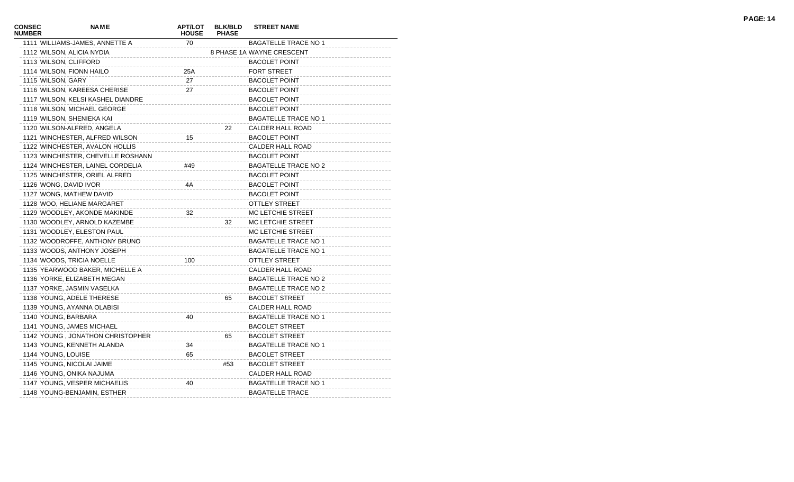| <b>CONSEC</b><br><b>NUMBER</b> | <b>NAME</b>                       | <b>APT/LOT</b><br><b>HOUSE</b> | <b>BLK/BLD</b><br><b>PHASE</b> | <b>STREET NAME</b>          |
|--------------------------------|-----------------------------------|--------------------------------|--------------------------------|-----------------------------|
|                                | 1111 WILLIAMS-JAMES, ANNETTE A    | 70                             |                                | <b>BAGATELLE TRACE NO 1</b> |
|                                | 1112 WILSON, ALICIA NYDIA         |                                |                                | 8 PHASE 1A WAYNE CRESCENT   |
|                                | 1113 WILSON, CLIFFORD             |                                |                                | <b>BACOLET POINT</b>        |
|                                | 1114 WILSON, FIONN HAILO          | 25A                            |                                | <b>FORT STREET</b>          |
|                                | 1115 WILSON, GARY                 | 27                             |                                | <b>BACOLET POINT</b>        |
|                                | 1116 WILSON, KAREESA CHERISE      | 27                             |                                | <b>BACOLET POINT</b>        |
|                                | 1117 WILSON, KELSI KASHEL DIANDRE |                                |                                | <b>BACOLET POINT</b>        |
|                                | 1118 WILSON, MICHAEL GEORGE       |                                |                                | <b>BACOLET POINT</b>        |
|                                | 1119 WILSON, SHENIEKA KAI         |                                |                                | <b>BAGATELLE TRACE NO 1</b> |
|                                | 1120 WILSON-ALFRED, ANGELA        |                                | 22                             | <b>CALDER HALL ROAD</b>     |
|                                | 1121 WINCHESTER, ALFRED WILSON    | 15                             |                                | <b>BACOLET POINT</b>        |
|                                | 1122 WINCHESTER, AVALON HOLLIS    |                                |                                | <b>CALDER HALL ROAD</b>     |
|                                | 1123 WINCHESTER, CHEVELLE ROSHANN |                                |                                | <b>BACOLET POINT</b>        |
|                                | 1124 WINCHESTER, LAINEL CORDELIA  | #49                            |                                | <b>BAGATELLE TRACE NO 2</b> |
|                                | 1125 WINCHESTER, ORIEL ALFRED     |                                |                                | <b>BACOLET POINT</b>        |
|                                | 1126 WONG, DAVID IVOR             | 4A                             |                                | <b>BACOLET POINT</b>        |
|                                | 1127 WONG, MATHEW DAVID           |                                |                                | <b>BACOLET POINT</b>        |
|                                | 1128 WOO, HELIANE MARGARET        |                                |                                | <b>OTTLEY STREET</b>        |
|                                | 1129 WOODLEY, AKONDE MAKINDE      | 32                             |                                | MC LETCHIE STREET           |
|                                | 1130 WOODLEY, ARNOLD KAZEMBE      |                                | 32                             | MC LETCHIE STREET           |
|                                | 1131 WOODLEY, ELESTON PAUL        |                                |                                | MC LETCHIE STREET           |
|                                | 1132 WOODROFFE, ANTHONY BRUNO     |                                |                                | <b>BAGATELLE TRACE NO 1</b> |
|                                | 1133 WOODS, ANTHONY JOSEPH        |                                |                                | <b>BAGATELLE TRACE NO 1</b> |
|                                | 1134 WOODS, TRICIA NOELLE         | 100                            |                                | <b>OTTLEY STREET</b>        |
|                                | 1135 YEARWOOD BAKER, MICHELLE A   |                                |                                | <b>CALDER HALL ROAD</b>     |
|                                | 1136 YORKE, ELIZABETH MEGAN       |                                |                                | <b>BAGATELLE TRACE NO 2</b> |
|                                | 1137 YORKE, JASMIN VASELKA        |                                |                                | <b>BAGATELLE TRACE NO 2</b> |
|                                | 1138 YOUNG, ADELE THERESE         |                                | 65                             | <b>BACOLET STREET</b>       |
|                                | 1139 YOUNG, AYANNA OLABISI        |                                |                                | CALDER HALL ROAD            |
|                                | 1140 YOUNG, BARBARA               | 40                             |                                | <b>BAGATELLE TRACE NO 1</b> |
|                                | 1141 YOUNG, JAMES MICHAEL         |                                |                                | <b>BACOLET STREET</b>       |
|                                | 1142 YOUNG, JONATHON CHRISTOPHER  |                                | 65                             | <b>BACOLET STREET</b>       |
|                                | 1143 YOUNG, KENNETH ALANDA        | 34                             |                                | <b>BAGATELLE TRACE NO 1</b> |
|                                | 1144 YOUNG, LOUISE                | 65                             |                                | <b>BACOLET STREET</b>       |
|                                | 1145 YOUNG, NICOLAI JAIME         |                                | #53                            | <b>BACOLET STREET</b>       |
|                                | 1146 YOUNG, ONIKA NAJUMA          |                                |                                | <b>CALDER HALL ROAD</b>     |
|                                | 1147 YOUNG, VESPER MICHAELIS      | 40                             |                                | <b>BAGATELLE TRACE NO 1</b> |
|                                | 1148 YOUNG-BENJAMIN, ESTHER       |                                |                                | <b>BAGATELLE TRACE</b>      |